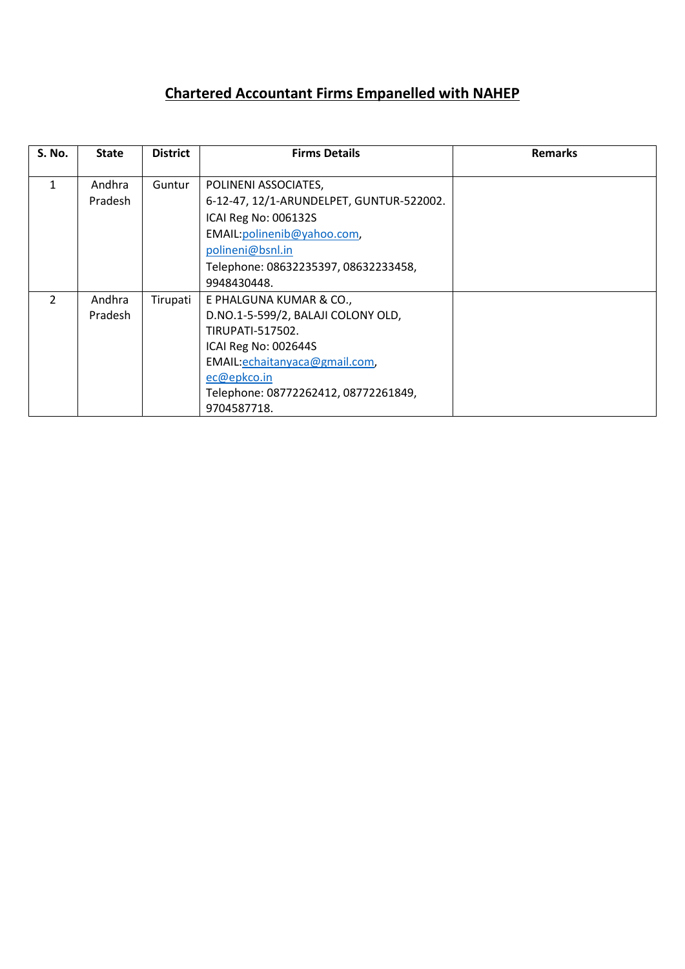## **Chartered Accountant Firms Empanelled with NAHEP**

| <b>S. No.</b> | <b>State</b>             | <b>District</b> | <b>Firms Details</b>                                                                                                                                                                                             | <b>Remarks</b> |
|---------------|--------------------------|-----------------|------------------------------------------------------------------------------------------------------------------------------------------------------------------------------------------------------------------|----------------|
| 1             | Andhra<br>Pradesh        | Guntur          | POLINENI ASSOCIATES,<br>6-12-47, 12/1-ARUNDELPET, GUNTUR-522002.<br>ICAI Reg No: 006132S                                                                                                                         |                |
|               |                          |                 | EMAIL: polinenib@yahoo.com,<br>polineni@bsnl.in<br>Telephone: 08632235397, 08632233458,<br>9948430448.                                                                                                           |                |
| $\mathcal{P}$ | Andhra<br><b>Pradesh</b> | Tirupati        | E PHALGUNA KUMAR & CO.,<br>D.NO.1-5-599/2, BALAJI COLONY OLD,<br>TIRUPATI-517502.<br>ICAI Reg No: 002644S<br>EMAIL:echaitanyaca@gmail.com,<br>ec@epkco.in<br>Telephone: 08772262412, 08772261849,<br>9704587718. |                |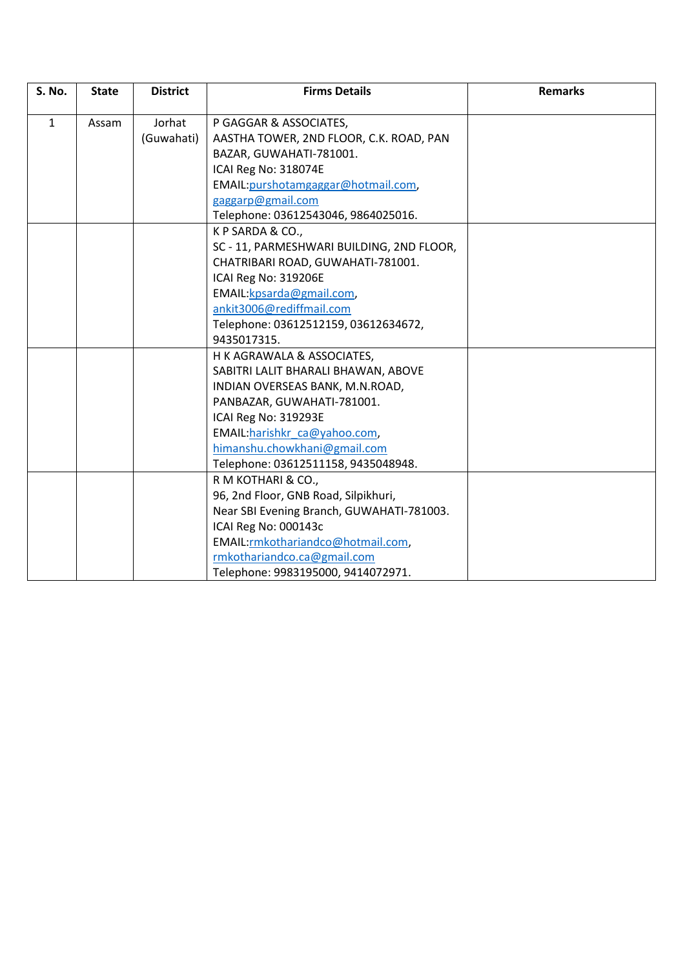| <b>S. No.</b> | <b>State</b> | <b>District</b> | <b>Firms Details</b>                      | <b>Remarks</b> |
|---------------|--------------|-----------------|-------------------------------------------|----------------|
|               |              |                 |                                           |                |
| $\mathbf{1}$  | Assam        | Jorhat          | P GAGGAR & ASSOCIATES,                    |                |
|               |              | (Guwahati)      | AASTHA TOWER, 2ND FLOOR, C.K. ROAD, PAN   |                |
|               |              |                 | BAZAR, GUWAHATI-781001.                   |                |
|               |              |                 | ICAI Reg No: 318074E                      |                |
|               |              |                 | EMAIL: purshotamgaggar@hotmail.com,       |                |
|               |              |                 | gaggarp@gmail.com                         |                |
|               |              |                 | Telephone: 03612543046, 9864025016.       |                |
|               |              |                 | K P SARDA & CO.,                          |                |
|               |              |                 | SC - 11, PARMESHWARI BUILDING, 2ND FLOOR, |                |
|               |              |                 | CHATRIBARI ROAD, GUWAHATI-781001.         |                |
|               |              |                 | ICAI Reg No: 319206E                      |                |
|               |              |                 | EMAIL: kpsarda@gmail.com,                 |                |
|               |              |                 | ankit3006@rediffmail.com                  |                |
|               |              |                 | Telephone: 03612512159, 03612634672,      |                |
|               |              |                 | 9435017315.                               |                |
|               |              |                 | H K AGRAWALA & ASSOCIATES,                |                |
|               |              |                 | SABITRI LALIT BHARALI BHAWAN, ABOVE       |                |
|               |              |                 | INDIAN OVERSEAS BANK, M.N.ROAD,           |                |
|               |              |                 | PANBAZAR, GUWAHATI-781001.                |                |
|               |              |                 | ICAI Reg No: 319293E                      |                |
|               |              |                 | EMAIL:harishkr ca@yahoo.com,              |                |
|               |              |                 | himanshu.chowkhani@gmail.com              |                |
|               |              |                 | Telephone: 03612511158, 9435048948.       |                |
|               |              |                 | R M KOTHARI & CO.,                        |                |
|               |              |                 | 96, 2nd Floor, GNB Road, Silpikhuri,      |                |
|               |              |                 | Near SBI Evening Branch, GUWAHATI-781003. |                |
|               |              |                 | ICAI Reg No: 000143c                      |                |
|               |              |                 | EMAIL:rmkothariandco@hotmail.com,         |                |
|               |              |                 | rmkothariandco.ca@gmail.com               |                |
|               |              |                 | Telephone: 9983195000, 9414072971.        |                |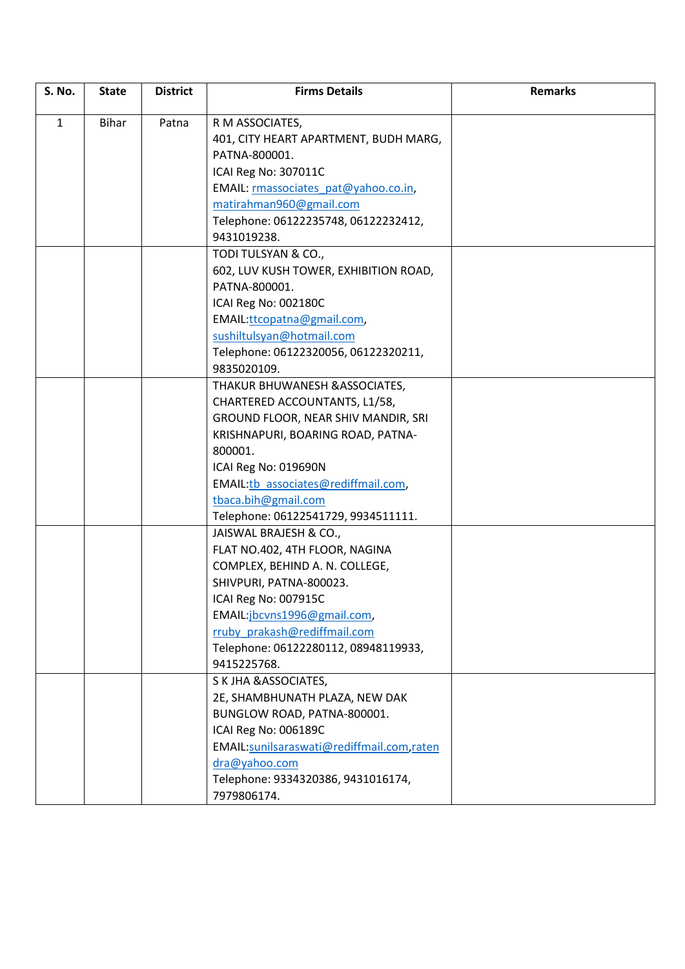| <b>S. No.</b> | <b>State</b> | <b>District</b> | <b>Firms Details</b>                      | <b>Remarks</b> |
|---------------|--------------|-----------------|-------------------------------------------|----------------|
| $\mathbf{1}$  | <b>Bihar</b> | Patna           | R M ASSOCIATES,                           |                |
|               |              |                 | 401, CITY HEART APARTMENT, BUDH MARG,     |                |
|               |              |                 | PATNA-800001.                             |                |
|               |              |                 | ICAI Reg No: 307011C                      |                |
|               |              |                 | EMAIL: rmassociates pat@yahoo.co.in,      |                |
|               |              |                 | matirahman960@gmail.com                   |                |
|               |              |                 | Telephone: 06122235748, 06122232412,      |                |
|               |              |                 | 9431019238.                               |                |
|               |              |                 | TODI TULSYAN & CO.,                       |                |
|               |              |                 | 602, LUV KUSH TOWER, EXHIBITION ROAD,     |                |
|               |              |                 | PATNA-800001.                             |                |
|               |              |                 | ICAI Reg No: 002180C                      |                |
|               |              |                 | EMAIL:ttcopatna@gmail.com,                |                |
|               |              |                 | sushiltulsyan@hotmail.com                 |                |
|               |              |                 | Telephone: 06122320056, 06122320211,      |                |
|               |              |                 | 9835020109.                               |                |
|               |              |                 | THAKUR BHUWANESH & ASSOCIATES,            |                |
|               |              |                 | CHARTERED ACCOUNTANTS, L1/58,             |                |
|               |              |                 | GROUND FLOOR, NEAR SHIV MANDIR, SRI       |                |
|               |              |                 | KRISHNAPURI, BOARING ROAD, PATNA-         |                |
|               |              |                 | 800001.                                   |                |
|               |              |                 | ICAI Reg No: 019690N                      |                |
|               |              |                 | EMAIL:tb associates@rediffmail.com,       |                |
|               |              |                 | tbaca.bih@gmail.com                       |                |
|               |              |                 | Telephone: 06122541729, 9934511111.       |                |
|               |              |                 | JAISWAL BRAJESH & CO.,                    |                |
|               |              |                 | FLAT NO.402, 4TH FLOOR, NAGINA            |                |
|               |              |                 | COMPLEX, BEHIND A. N. COLLEGE,            |                |
|               |              |                 | SHIVPURI, PATNA-800023.                   |                |
|               |              |                 | ICAI Reg No: 007915C                      |                |
|               |              |                 | EMAIL:jbcvns1996@gmail.com,               |                |
|               |              |                 | rruby prakash@rediffmail.com              |                |
|               |              |                 | Telephone: 06122280112, 08948119933,      |                |
|               |              |                 | 9415225768.                               |                |
|               |              |                 | S K JHA & ASSOCIATES,                     |                |
|               |              |                 | 2E, SHAMBHUNATH PLAZA, NEW DAK            |                |
|               |              |                 | BUNGLOW ROAD, PATNA-800001.               |                |
|               |              |                 | ICAI Reg No: 006189C                      |                |
|               |              |                 | EMAIL:sunilsaraswati@rediffmail.com.raten |                |
|               |              |                 | dra@yahoo.com                             |                |
|               |              |                 | Telephone: 9334320386, 9431016174,        |                |
|               |              |                 | 7979806174.                               |                |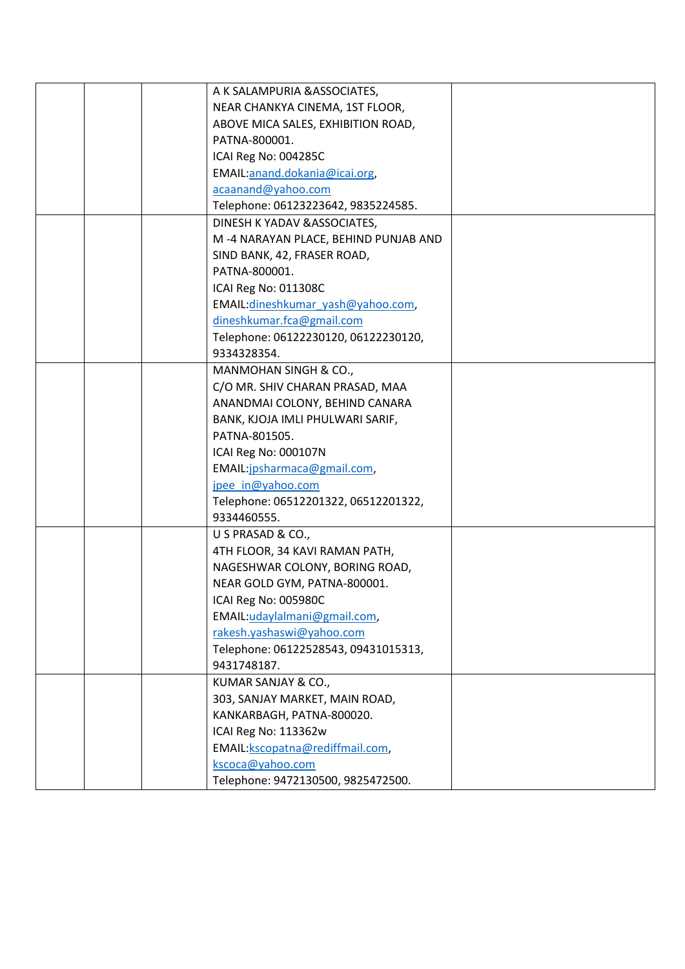|  | A K SALAMPURIA & ASSOCIATES,         |  |
|--|--------------------------------------|--|
|  | NEAR CHANKYA CINEMA, 1ST FLOOR,      |  |
|  | ABOVE MICA SALES, EXHIBITION ROAD,   |  |
|  | PATNA-800001.                        |  |
|  | ICAI Reg No: 004285C                 |  |
|  | EMAIL:anand.dokania@icai.org,        |  |
|  | acaanand@yahoo.com                   |  |
|  | Telephone: 06123223642, 9835224585.  |  |
|  | DINESH K YADAV & ASSOCIATES,         |  |
|  | M-4 NARAYAN PLACE, BEHIND PUNJAB AND |  |
|  | SIND BANK, 42, FRASER ROAD,          |  |
|  | PATNA-800001.                        |  |
|  | ICAI Reg No: 011308C                 |  |
|  | EMAIL: dineshkumar yash@yahoo.com,   |  |
|  | dineshkumar.fca@gmail.com            |  |
|  | Telephone: 06122230120, 06122230120, |  |
|  | 9334328354.                          |  |
|  | MANMOHAN SINGH & CO.,                |  |
|  | C/O MR. SHIV CHARAN PRASAD, MAA      |  |
|  | ANANDMAI COLONY, BEHIND CANARA       |  |
|  | BANK, KJOJA IMLI PHULWARI SARIF,     |  |
|  | PATNA-801505.                        |  |
|  | ICAI Reg No: 000107N                 |  |
|  | EMAIL:jpsharmaca@gmail.com,          |  |
|  | jpee in@yahoo.com                    |  |
|  | Telephone: 06512201322, 06512201322, |  |
|  | 9334460555.                          |  |
|  | U S PRASAD & CO.,                    |  |
|  | 4TH FLOOR, 34 KAVI RAMAN PATH,       |  |
|  | NAGESHWAR COLONY, BORING ROAD,       |  |
|  | NEAR GOLD GYM, PATNA-800001.         |  |
|  | ICAI Reg No: 005980C                 |  |
|  | EMAIL:udaylalmani@gmail.com,         |  |
|  | rakesh.yashaswi@yahoo.com            |  |
|  | Telephone: 06122528543, 09431015313, |  |
|  | 9431748187.                          |  |
|  | KUMAR SANJAY & CO.,                  |  |
|  | 303, SANJAY MARKET, MAIN ROAD,       |  |
|  | KANKARBAGH, PATNA-800020.            |  |
|  | ICAI Reg No: 113362w                 |  |
|  | EMAIL: kscopatna@rediffmail.com,     |  |
|  | kscoca@yahoo.com                     |  |
|  | Telephone: 9472130500, 9825472500.   |  |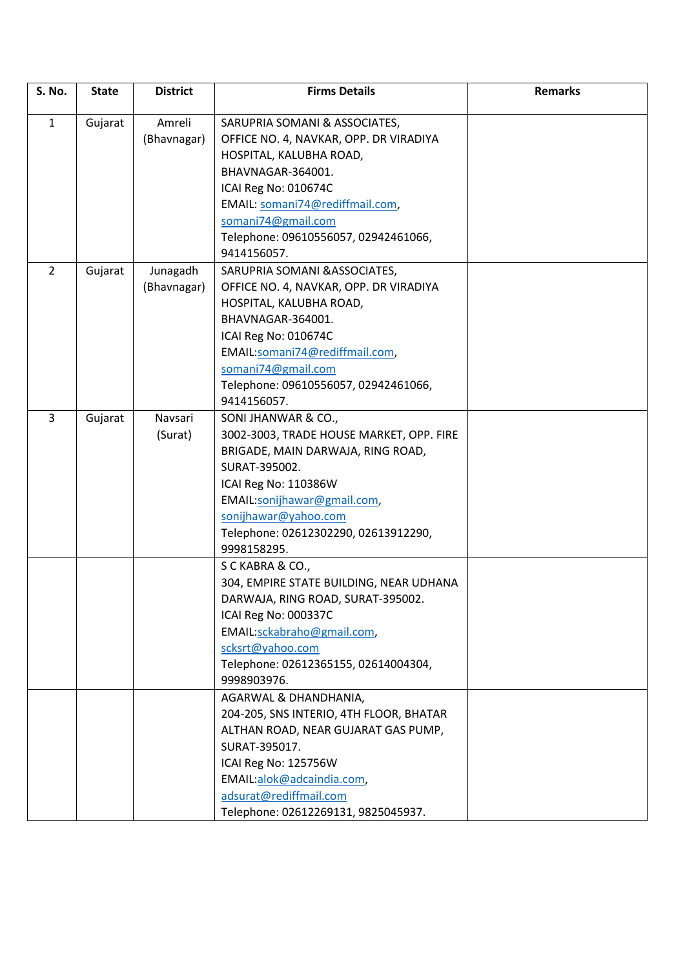| <b>S. No.</b>  | <b>State</b> | <b>District</b> | <b>Firms Details</b>                     | <b>Remarks</b> |
|----------------|--------------|-----------------|------------------------------------------|----------------|
| $\mathbf{1}$   | Gujarat      | Amreli          | SARUPRIA SOMANI & ASSOCIATES,            |                |
|                |              | (Bhavnagar)     | OFFICE NO. 4, NAVKAR, OPP. DR VIRADIYA   |                |
|                |              |                 | HOSPITAL, KALUBHA ROAD,                  |                |
|                |              |                 | BHAVNAGAR-364001.                        |                |
|                |              |                 | ICAI Reg No: 010674C                     |                |
|                |              |                 | EMAIL: somani74@rediffmail.com,          |                |
|                |              |                 | somani74@gmail.com                       |                |
|                |              |                 | Telephone: 09610556057, 02942461066,     |                |
|                |              |                 | 9414156057.                              |                |
| $\overline{2}$ | Gujarat      | Junagadh        | SARUPRIA SOMANI & ASSOCIATES,            |                |
|                |              | (Bhavnagar)     | OFFICE NO. 4, NAVKAR, OPP. DR VIRADIYA   |                |
|                |              |                 | HOSPITAL, KALUBHA ROAD,                  |                |
|                |              |                 | BHAVNAGAR-364001.                        |                |
|                |              |                 | ICAI Reg No: 010674C                     |                |
|                |              |                 | EMAIL:somani74@rediffmail.com,           |                |
|                |              |                 | somani74@gmail.com                       |                |
|                |              |                 | Telephone: 09610556057, 02942461066,     |                |
|                |              |                 | 9414156057.                              |                |
| $\overline{3}$ | Gujarat      | Navsari         | SONI JHANWAR & CO.,                      |                |
|                |              | (Surat)         | 3002-3003, TRADE HOUSE MARKET, OPP. FIRE |                |
|                |              |                 | BRIGADE, MAIN DARWAJA, RING ROAD,        |                |
|                |              |                 | SURAT-395002.                            |                |
|                |              |                 | ICAI Reg No: 110386W                     |                |
|                |              |                 | EMAIL:sonijhawar@gmail.com,              |                |
|                |              |                 | sonijhawar@yahoo.com                     |                |
|                |              |                 | Telephone: 02612302290, 02613912290,     |                |
|                |              |                 | 9998158295.                              |                |
|                |              |                 | S C KABRA & CO.,                         |                |
|                |              |                 | 304, EMPIRE STATE BUILDING, NEAR UDHANA  |                |
|                |              |                 | DARWAJA, RING ROAD, SURAT-395002.        |                |
|                |              |                 | ICAI Reg No: 000337C                     |                |
|                |              |                 | EMAIL:sckabraho@gmail.com,               |                |
|                |              |                 | scksrt@yahoo.com                         |                |
|                |              |                 | Telephone: 02612365155, 02614004304,     |                |
|                |              |                 | 9998903976.                              |                |
|                |              |                 | AGARWAL & DHANDHANIA,                    |                |
|                |              |                 | 204-205, SNS INTERIO, 4TH FLOOR, BHATAR  |                |
|                |              |                 | ALTHAN ROAD, NEAR GUJARAT GAS PUMP,      |                |
|                |              |                 | SURAT-395017.                            |                |
|                |              |                 | ICAI Reg No: 125756W                     |                |
|                |              |                 | EMAIL:alok@adcaindia.com,                |                |
|                |              |                 | adsurat@rediffmail.com                   |                |
|                |              |                 | Telephone: 02612269131, 9825045937.      |                |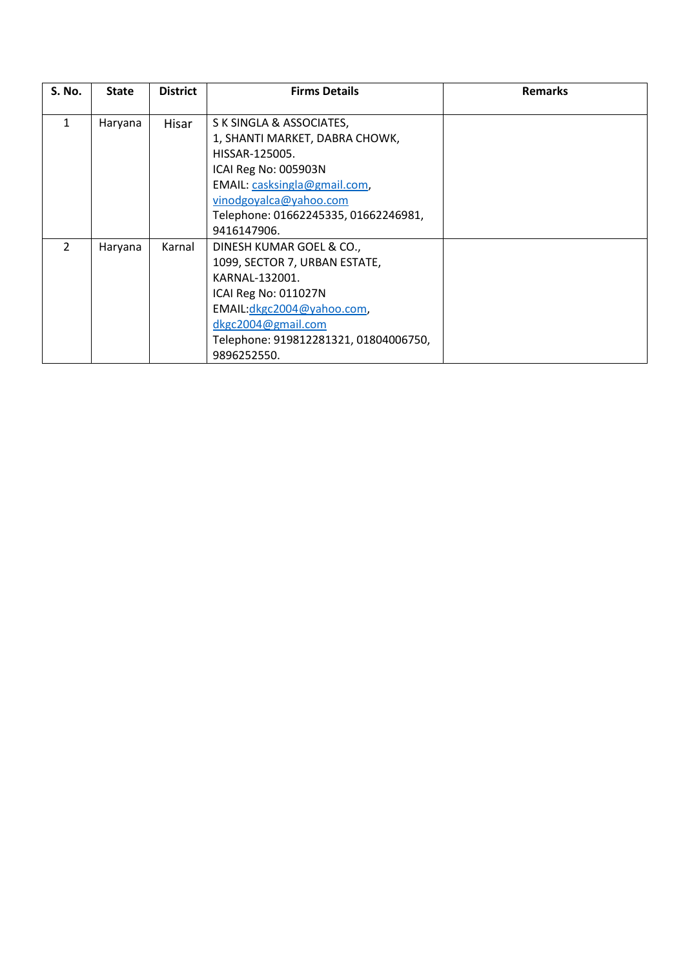| <b>S. No.</b> | <b>State</b> | <b>District</b> | <b>Firms Details</b>                  | <b>Remarks</b> |
|---------------|--------------|-----------------|---------------------------------------|----------------|
|               |              |                 |                                       |                |
|               | Haryana      | Hisar           | S K SINGLA & ASSOCIATES,              |                |
|               |              |                 | 1, SHANTI MARKET, DABRA CHOWK,        |                |
|               |              |                 | HISSAR-125005.                        |                |
|               |              |                 | ICAI Reg No: 005903N                  |                |
|               |              |                 | EMAIL: casksingla@gmail.com,          |                |
|               |              |                 | vinodgoyalca@yahoo.com                |                |
|               |              |                 | Telephone: 01662245335, 01662246981,  |                |
|               |              |                 | 9416147906.                           |                |
| $\mathcal{P}$ | Haryana      | Karnal          | DINESH KUMAR GOEL & CO.,              |                |
|               |              |                 | 1099, SECTOR 7, URBAN ESTATE,         |                |
|               |              |                 | KARNAL-132001.                        |                |
|               |              |                 | ICAI Reg No: 011027N                  |                |
|               |              |                 | EMAIL: dkgc2004@yahoo.com,            |                |
|               |              |                 | dkgc2004@gmail.com                    |                |
|               |              |                 | Telephone: 919812281321, 01804006750, |                |
|               |              |                 | 9896252550.                           |                |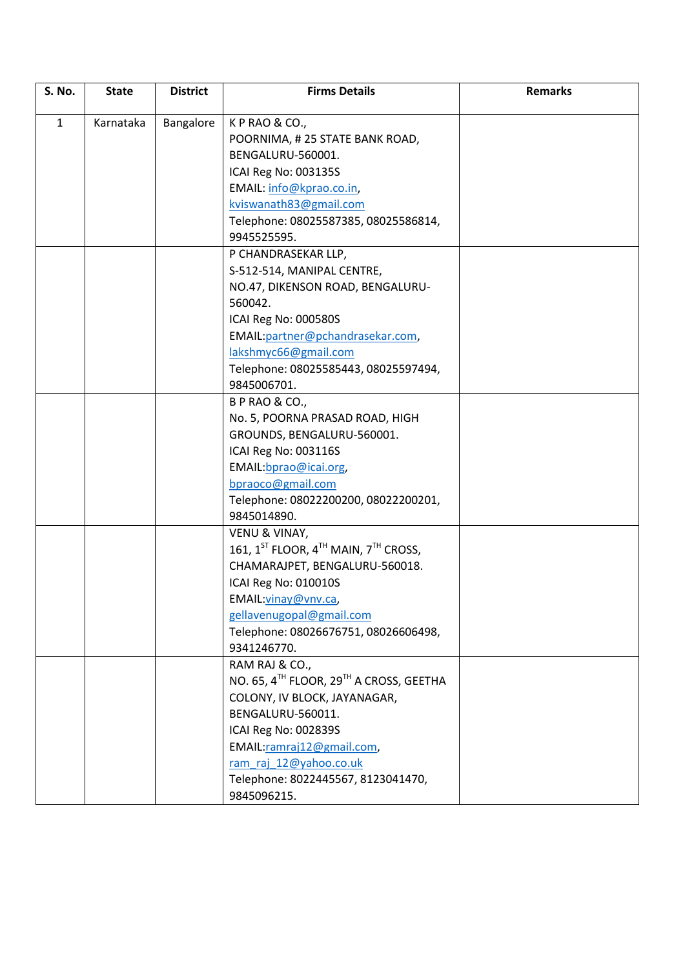| S. No.       | <b>State</b> | <b>District</b> | <b>Firms Details</b>                                | <b>Remarks</b> |
|--------------|--------------|-----------------|-----------------------------------------------------|----------------|
| $\mathbf{1}$ | Karnataka    |                 | KPRAO&CO.,                                          |                |
|              |              | Bangalore       |                                                     |                |
|              |              |                 | POORNIMA, #25 STATE BANK ROAD,                      |                |
|              |              |                 | BENGALURU-560001.                                   |                |
|              |              |                 | ICAI Reg No: 003135S                                |                |
|              |              |                 | EMAIL: info@kprao.co.in,                            |                |
|              |              |                 | kviswanath83@gmail.com                              |                |
|              |              |                 | Telephone: 08025587385, 08025586814,                |                |
|              |              |                 | 9945525595.                                         |                |
|              |              |                 | P CHANDRASEKAR LLP,                                 |                |
|              |              |                 | S-512-514, MANIPAL CENTRE,                          |                |
|              |              |                 | NO.47, DIKENSON ROAD, BENGALURU-                    |                |
|              |              |                 | 560042.                                             |                |
|              |              |                 | ICAI Reg No: 000580S                                |                |
|              |              |                 | EMAIL: partner@pchandrasekar.com,                   |                |
|              |              |                 | lakshmyc66@gmail.com                                |                |
|              |              |                 | Telephone: 08025585443, 08025597494,                |                |
|              |              |                 | 9845006701.                                         |                |
|              |              |                 | <b>B P RAO &amp; CO.,</b>                           |                |
|              |              |                 | No. 5, POORNA PRASAD ROAD, HIGH                     |                |
|              |              |                 | GROUNDS, BENGALURU-560001.                          |                |
|              |              |                 | ICAI Reg No: 003116S                                |                |
|              |              |                 | EMAIL: bprao@icai.org                               |                |
|              |              |                 | bpraoco@gmail.com                                   |                |
|              |              |                 | Telephone: 08022200200, 08022200201,                |                |
|              |              |                 | 9845014890.                                         |                |
|              |              |                 | VENU & VINAY,                                       |                |
|              |              |                 | 161, $1^{ST}$ FLOOR, $4^{TH}$ MAIN, $7^{TH}$ CROSS, |                |
|              |              |                 | CHAMARAJPET, BENGALURU-560018.                      |                |
|              |              |                 | ICAI Reg No: 010010S                                |                |
|              |              |                 | EMAIL: vinay@vnv.ca,                                |                |
|              |              |                 | gellavenugopal@gmail.com                            |                |
|              |              |                 | Telephone: 08026676751, 08026606498,                |                |
|              |              |                 | 9341246770.                                         |                |
|              |              |                 | RAM RAJ & CO.,                                      |                |
|              |              |                 | NO. 65, 4TH FLOOR, 29TH A CROSS, GEETHA             |                |
|              |              |                 | COLONY, IV BLOCK, JAYANAGAR,                        |                |
|              |              |                 | BENGALURU-560011.                                   |                |
|              |              |                 | ICAI Reg No: 002839S                                |                |
|              |              |                 | EMAIL:ramraj12@gmail.com,                           |                |
|              |              |                 | ram raj 12@yahoo.co.uk                              |                |
|              |              |                 | Telephone: 8022445567, 8123041470,                  |                |
|              |              |                 | 9845096215.                                         |                |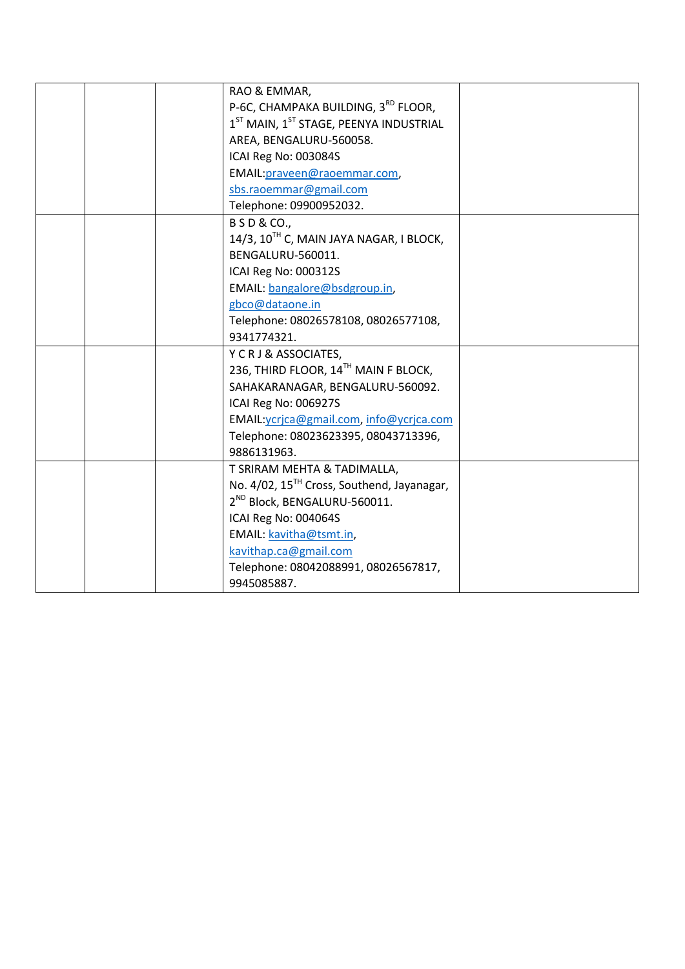|  | RAO & EMMAR,                                           |  |
|--|--------------------------------------------------------|--|
|  | P-6C, CHAMPAKA BUILDING, 3 <sup>RD</sup> FLOOR,        |  |
|  | $1ST$ MAIN, $1ST$ STAGE, PEENYA INDUSTRIAL             |  |
|  | AREA, BENGALURU-560058.                                |  |
|  | ICAI Reg No: 003084S                                   |  |
|  | EMAIL: praveen@raoemmar.com,                           |  |
|  | sbs.raoemmar@gmail.com                                 |  |
|  | Telephone: 09900952032.                                |  |
|  | <b>BSD&amp;CO.,</b>                                    |  |
|  | 14/3, 10 <sup>TH</sup> C, MAIN JAYA NAGAR, I BLOCK,    |  |
|  | BENGALURU-560011.                                      |  |
|  | ICAI Reg No: 000312S                                   |  |
|  | EMAIL: bangalore@bsdgroup.in,                          |  |
|  | gbco@dataone.in                                        |  |
|  | Telephone: 08026578108, 08026577108,                   |  |
|  | 9341774321.                                            |  |
|  | Y C R J & ASSOCIATES,                                  |  |
|  | 236, THIRD FLOOR, 14TH MAIN F BLOCK,                   |  |
|  | SAHAKARANAGAR, BENGALURU-560092.                       |  |
|  | ICAI Reg No: 006927S                                   |  |
|  | EMAIL: ycrjca@gmail.com, info@ycrjca.com               |  |
|  | Telephone: 08023623395, 08043713396,                   |  |
|  | 9886131963.                                            |  |
|  | T SRIRAM MEHTA & TADIMALLA,                            |  |
|  | No. 4/02, 15 <sup>TH</sup> Cross, Southend, Jayanagar, |  |
|  | 2 <sup>ND</sup> Block, BENGALURU-560011.               |  |
|  | ICAI Reg No: 004064S                                   |  |
|  | EMAIL: kavitha@tsmt.in,                                |  |
|  | kavithap.ca@gmail.com                                  |  |
|  | Telephone: 08042088991, 08026567817,                   |  |
|  | 9945085887.                                            |  |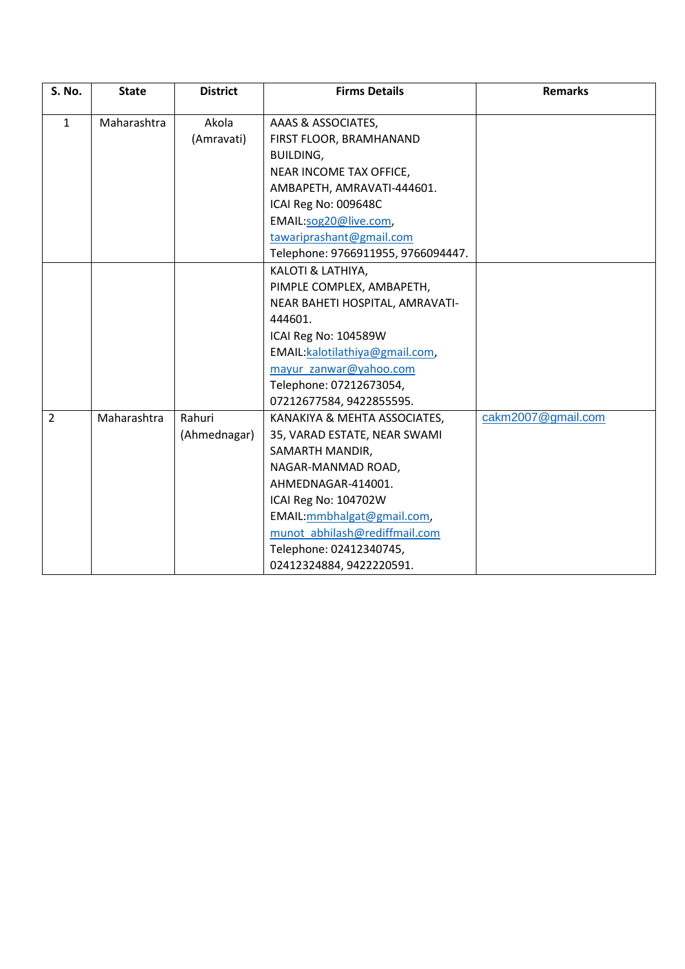| <b>S. No.</b>  | <b>State</b> | <b>District</b> | <b>Firms Details</b>               | <b>Remarks</b>     |
|----------------|--------------|-----------------|------------------------------------|--------------------|
|                |              |                 |                                    |                    |
| $\mathbf{1}$   | Maharashtra  | Akola           | AAAS & ASSOCIATES,                 |                    |
|                |              | (Amravati)      | FIRST FLOOR, BRAMHANAND            |                    |
|                |              |                 | <b>BUILDING,</b>                   |                    |
|                |              |                 | NEAR INCOME TAX OFFICE,            |                    |
|                |              |                 | AMBAPETH, AMRAVATI-444601.         |                    |
|                |              |                 | ICAI Reg No: 009648C               |                    |
|                |              |                 | EMAIL:sog20@live.com,              |                    |
|                |              |                 | tawariprashant@gmail.com           |                    |
|                |              |                 | Telephone: 9766911955, 9766094447. |                    |
|                |              |                 | KALOTI & LATHIYA,                  |                    |
|                |              |                 | PIMPLE COMPLEX, AMBAPETH,          |                    |
|                |              |                 | NEAR BAHETI HOSPITAL, AMRAVATI-    |                    |
|                |              |                 | 444601.                            |                    |
|                |              |                 | ICAI Reg No: 104589W               |                    |
|                |              |                 | EMAIL: kalotilathiya@gmail.com,    |                    |
|                |              |                 | mayur zanwar@yahoo.com             |                    |
|                |              |                 | Telephone: 07212673054,            |                    |
|                |              |                 | 07212677584, 9422855595.           |                    |
| $\overline{2}$ | Maharashtra  | Rahuri          | KANAKIYA & MEHTA ASSOCIATES,       | cakm2007@gmail.com |
|                |              | (Ahmednagar)    | 35, VARAD ESTATE, NEAR SWAMI       |                    |
|                |              |                 | SAMARTH MANDIR,                    |                    |
|                |              |                 | NAGAR-MANMAD ROAD,                 |                    |
|                |              |                 | AHMEDNAGAR-414001.                 |                    |
|                |              |                 | ICAI Reg No: 104702W               |                    |
|                |              |                 | EMAIL:mmbhalgat@gmail.com,         |                    |
|                |              |                 | munot_abhilash@rediffmail.com      |                    |
|                |              |                 | Telephone: 02412340745,            |                    |
|                |              |                 | 02412324884, 9422220591.           |                    |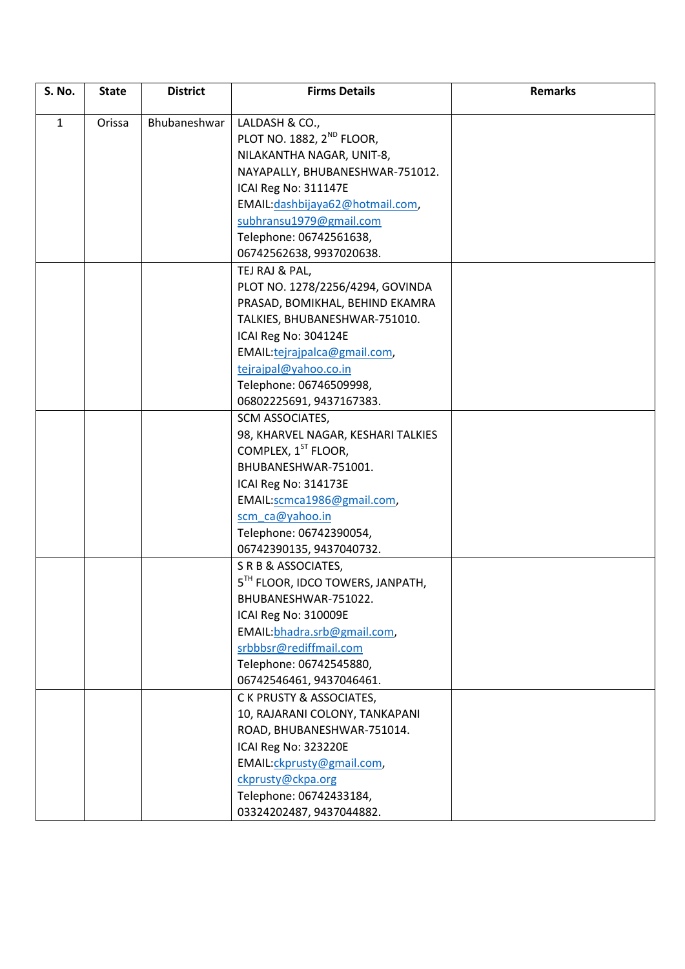| <b>S. No.</b> | <b>State</b> | <b>District</b> | <b>Firms Details</b>                                                  | <b>Remarks</b> |
|---------------|--------------|-----------------|-----------------------------------------------------------------------|----------------|
| $\mathbf{1}$  | Orissa       | Bhubaneshwar    | LALDASH & CO.,                                                        |                |
|               |              |                 | PLOT NO. 1882, 2 <sup>ND</sup> FLOOR,                                 |                |
|               |              |                 | NILAKANTHA NAGAR, UNIT-8,                                             |                |
|               |              |                 | NAYAPALLY, BHUBANESHWAR-751012.                                       |                |
|               |              |                 | ICAI Reg No: 311147E                                                  |                |
|               |              |                 | EMAIL:dashbijaya62@hotmail.com,                                       |                |
|               |              |                 | subhransu1979@gmail.com                                               |                |
|               |              |                 | Telephone: 06742561638,                                               |                |
|               |              |                 | 06742562638, 9937020638.                                              |                |
|               |              |                 | TEJ RAJ & PAL,                                                        |                |
|               |              |                 | PLOT NO. 1278/2256/4294, GOVINDA                                      |                |
|               |              |                 |                                                                       |                |
|               |              |                 | PRASAD, BOMIKHAL, BEHIND EKAMRA                                       |                |
|               |              |                 | TALKIES, BHUBANESHWAR-751010.                                         |                |
|               |              |                 | ICAI Reg No: 304124E                                                  |                |
|               |              |                 | EMAIL:tejrajpalca@gmail.com,<br>tejrajpal@yahoo.co.in                 |                |
|               |              |                 |                                                                       |                |
|               |              |                 | Telephone: 06746509998,                                               |                |
|               |              |                 | 06802225691, 9437167383.                                              |                |
|               |              |                 | SCM ASSOCIATES,                                                       |                |
|               |              |                 | 98, KHARVEL NAGAR, KESHARI TALKIES<br>COMPLEX, 1 <sup>ST</sup> FLOOR, |                |
|               |              |                 |                                                                       |                |
|               |              |                 | BHUBANESHWAR-751001.                                                  |                |
|               |              |                 | ICAI Reg No: 314173E                                                  |                |
|               |              |                 | EMAIL:scmca1986@gmail.com,                                            |                |
|               |              |                 | scm ca@yahoo.in                                                       |                |
|               |              |                 | Telephone: 06742390054,                                               |                |
|               |              |                 | 06742390135, 9437040732.                                              |                |
|               |              |                 | S R B & ASSOCIATES,<br>5 <sup>TH</sup> FLOOR, IDCO TOWERS, JANPATH,   |                |
|               |              |                 |                                                                       |                |
|               |              |                 | BHUBANESHWAR-751022.                                                  |                |
|               |              |                 | ICAI Reg No: 310009E                                                  |                |
|               |              |                 | EMAIL:bhadra.srb@gmail.com,                                           |                |
|               |              |                 | srbbbsr@rediffmail.com                                                |                |
|               |              |                 | Telephone: 06742545880,                                               |                |
|               |              |                 | 06742546461, 9437046461.                                              |                |
|               |              |                 | C K PRUSTY & ASSOCIATES,                                              |                |
|               |              |                 | 10, RAJARANI COLONY, TANKAPANI                                        |                |
|               |              |                 | ROAD, BHUBANESHWAR-751014.                                            |                |
|               |              |                 | ICAI Reg No: 323220E                                                  |                |
|               |              |                 | EMAIL:ckprusty@gmail.com,                                             |                |
|               |              |                 | ckprusty@ckpa.org                                                     |                |
|               |              |                 | Telephone: 06742433184,                                               |                |
|               |              |                 | 03324202487, 9437044882.                                              |                |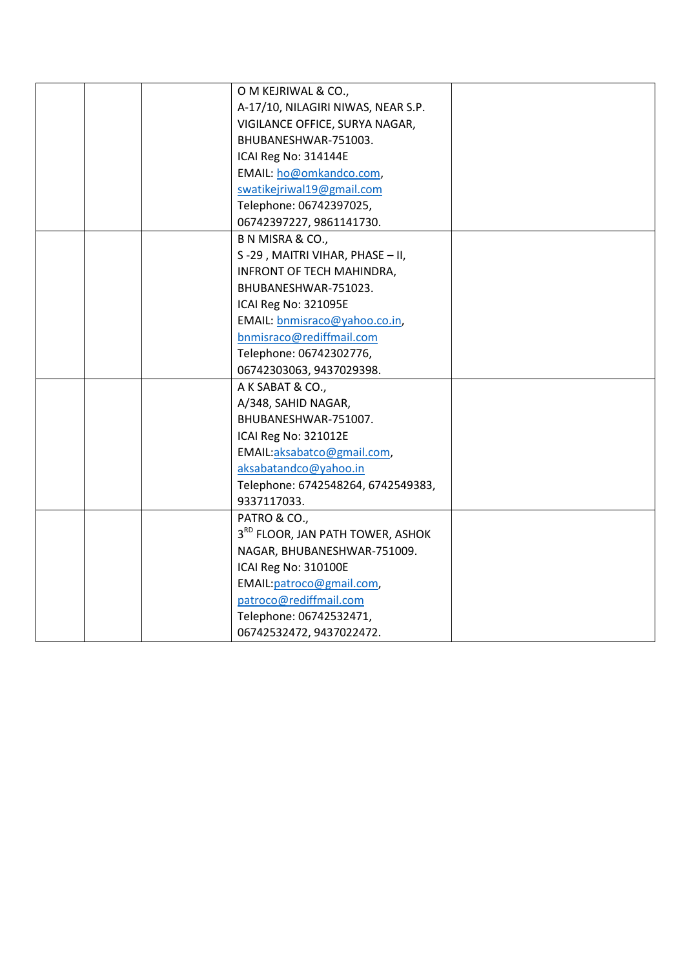|  | O M KEJRIWAL & CO.,                |  |
|--|------------------------------------|--|
|  | A-17/10, NILAGIRI NIWAS, NEAR S.P. |  |
|  | VIGILANCE OFFICE, SURYA NAGAR,     |  |
|  | BHUBANESHWAR-751003.               |  |
|  | ICAI Reg No: 314144E               |  |
|  | EMAIL: ho@omkandco.com,            |  |
|  | swatikejriwal19@gmail.com          |  |
|  | Telephone: 06742397025,            |  |
|  | 06742397227, 9861141730.           |  |
|  | B N MISRA & CO.,                   |  |
|  | S-29, MAITRI VIHAR, PHASE - II,    |  |
|  | INFRONT OF TECH MAHINDRA,          |  |
|  | BHUBANESHWAR-751023.               |  |
|  | ICAI Reg No: 321095E               |  |
|  | EMAIL: bnmisraco@yahoo.co.in,      |  |
|  | bnmisraco@rediffmail.com           |  |
|  | Telephone: 06742302776,            |  |
|  | 06742303063, 9437029398.           |  |
|  | A K SABAT & CO.,                   |  |
|  | A/348, SAHID NAGAR,                |  |
|  | BHUBANESHWAR-751007.               |  |
|  | ICAI Reg No: 321012E               |  |
|  | EMAIL:aksabatco@gmail.com,         |  |
|  | aksabatandco@yahoo.in              |  |
|  | Telephone: 6742548264, 6742549383, |  |
|  | 9337117033.                        |  |
|  | PATRO & CO.,                       |  |
|  | 3RD FLOOR, JAN PATH TOWER, ASHOK   |  |
|  | NAGAR, BHUBANESHWAR-751009.        |  |
|  | ICAI Reg No: 310100E               |  |
|  | EMAIL: patroco@gmail.com,          |  |
|  | patroco@rediffmail.com             |  |
|  | Telephone: 06742532471,            |  |
|  | 06742532472, 9437022472.           |  |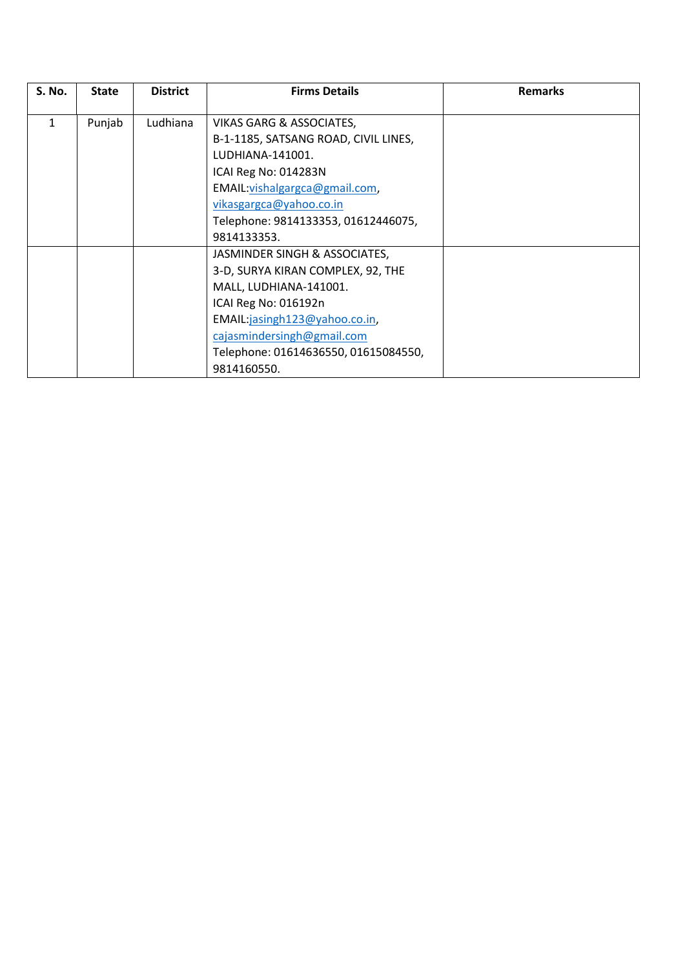| <b>S. No.</b> | <b>State</b> | <b>District</b> | <b>Firms Details</b>                 | <b>Remarks</b> |
|---------------|--------------|-----------------|--------------------------------------|----------------|
|               |              |                 |                                      |                |
| 1             | Punjab       | Ludhiana        | <b>VIKAS GARG &amp; ASSOCIATES,</b>  |                |
|               |              |                 | B-1-1185, SATSANG ROAD, CIVIL LINES, |                |
|               |              |                 | LUDHIANA-141001.                     |                |
|               |              |                 | ICAI Reg No: 014283N                 |                |
|               |              |                 | EMAIL: vishalgargca@gmail.com,       |                |
|               |              |                 | vikasgargca@yahoo.co.in              |                |
|               |              |                 | Telephone: 9814133353, 01612446075,  |                |
|               |              |                 | 9814133353.                          |                |
|               |              |                 | JASMINDER SINGH & ASSOCIATES,        |                |
|               |              |                 | 3-D, SURYA KIRAN COMPLEX, 92, THE    |                |
|               |              |                 | MALL, LUDHIANA-141001.               |                |
|               |              |                 | ICAI Reg No: 016192n                 |                |
|               |              |                 | EMAIL:jasingh123@yahoo.co.in,        |                |
|               |              |                 | cajasmindersingh@gmail.com           |                |
|               |              |                 | Telephone: 01614636550, 01615084550, |                |
|               |              |                 | 9814160550.                          |                |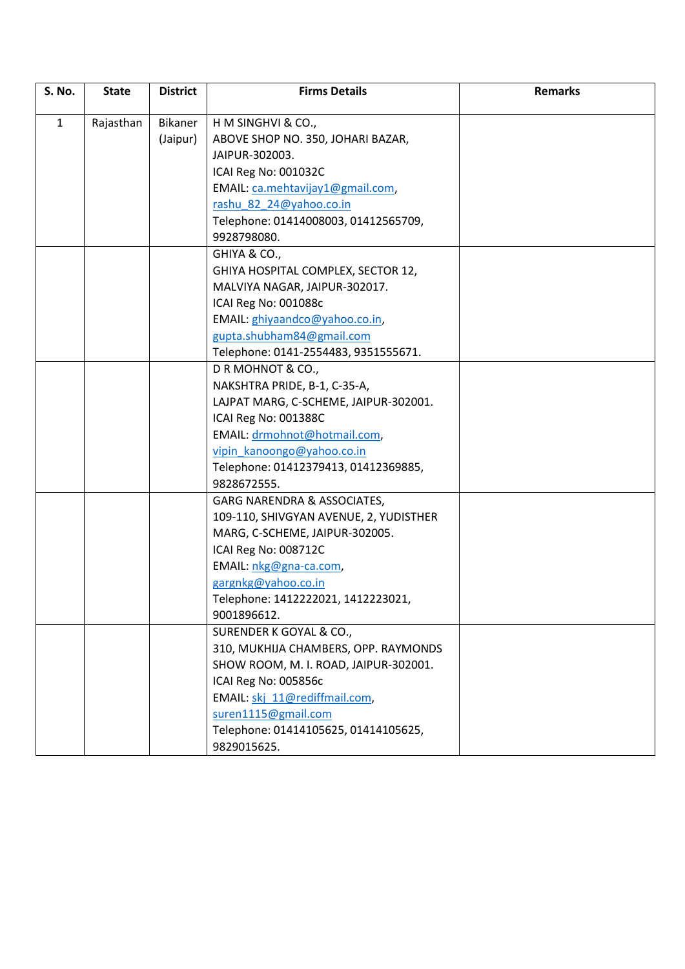| <b>S. No.</b> | <b>State</b> | <b>District</b> | <b>Firms Details</b>                                        | <b>Remarks</b> |
|---------------|--------------|-----------------|-------------------------------------------------------------|----------------|
|               |              |                 |                                                             |                |
| $\mathbf{1}$  | Rajasthan    | Bikaner         | H M SINGHVI & CO.,                                          |                |
|               |              | (Jaipur)        | ABOVE SHOP NO. 350, JOHARI BAZAR,<br>JAIPUR-302003.         |                |
|               |              |                 | ICAI Reg No: 001032C                                        |                |
|               |              |                 |                                                             |                |
|               |              |                 | EMAIL: ca.mehtavijay1@gmail.com,<br>rashu 82_24@yahoo.co.in |                |
|               |              |                 | Telephone: 01414008003, 01412565709,                        |                |
|               |              |                 | 9928798080.                                                 |                |
|               |              |                 | GHIYA & CO.,                                                |                |
|               |              |                 | GHIYA HOSPITAL COMPLEX, SECTOR 12,                          |                |
|               |              |                 | MALVIYA NAGAR, JAIPUR-302017.                               |                |
|               |              |                 | ICAI Reg No: 001088c                                        |                |
|               |              |                 | EMAIL: ghiyaandco@yahoo.co.in,                              |                |
|               |              |                 | gupta.shubham84@gmail.com                                   |                |
|               |              |                 | Telephone: 0141-2554483, 9351555671.                        |                |
|               |              |                 | DRMOHNOT & CO.,                                             |                |
|               |              |                 | NAKSHTRA PRIDE, B-1, C-35-A,                                |                |
|               |              |                 | LAJPAT MARG, C-SCHEME, JAIPUR-302001.                       |                |
|               |              |                 | ICAI Reg No: 001388C                                        |                |
|               |              |                 | EMAIL: drmohnot@hotmail.com,                                |                |
|               |              |                 | vipin kanoongo@yahoo.co.in                                  |                |
|               |              |                 | Telephone: 01412379413, 01412369885,                        |                |
|               |              |                 | 9828672555.                                                 |                |
|               |              |                 | GARG NARENDRA & ASSOCIATES,                                 |                |
|               |              |                 | 109-110, SHIVGYAN AVENUE, 2, YUDISTHER                      |                |
|               |              |                 | MARG, C-SCHEME, JAIPUR-302005.                              |                |
|               |              |                 | ICAI Reg No: 008712C                                        |                |
|               |              |                 | EMAIL: nkg@gna-ca.com,                                      |                |
|               |              |                 | gargnkg@yahoo.co.in                                         |                |
|               |              |                 | Telephone: 1412222021, 1412223021,                          |                |
|               |              |                 | 9001896612.                                                 |                |
|               |              |                 | SURENDER K GOYAL & CO.,                                     |                |
|               |              |                 | 310, MUKHIJA CHAMBERS, OPP. RAYMONDS                        |                |
|               |              |                 | SHOW ROOM, M. I. ROAD, JAIPUR-302001.                       |                |
|               |              |                 | ICAI Reg No: 005856c                                        |                |
|               |              |                 | EMAIL: skj_11@rediffmail.com,                               |                |
|               |              |                 | suren1115@gmail.com                                         |                |
|               |              |                 | Telephone: 01414105625, 01414105625,                        |                |
|               |              |                 | 9829015625.                                                 |                |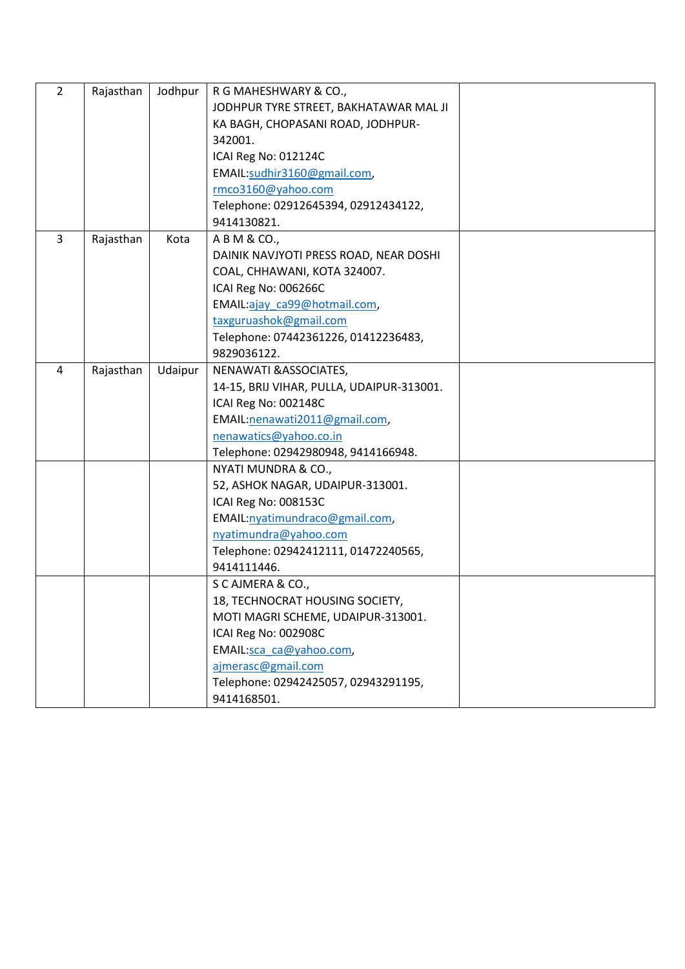| $\overline{2}$ | Rajasthan | Jodhpur | R G MAHESHWARY & CO.,                     |  |
|----------------|-----------|---------|-------------------------------------------|--|
|                |           |         | JODHPUR TYRE STREET, BAKHATAWAR MAL JI    |  |
|                |           |         | KA BAGH, CHOPASANI ROAD, JODHPUR-         |  |
|                |           |         | 342001.                                   |  |
|                |           |         | ICAI Reg No: 012124C                      |  |
|                |           |         | EMAIL:sudhir3160@gmail.com,               |  |
|                |           |         | rmco3160@yahoo.com                        |  |
|                |           |         | Telephone: 02912645394, 02912434122,      |  |
|                |           |         | 9414130821.                               |  |
| $\overline{3}$ | Rajasthan | Kota    | A B M & CO.,                              |  |
|                |           |         | DAINIK NAVJYOTI PRESS ROAD, NEAR DOSHI    |  |
|                |           |         | COAL, CHHAWANI, KOTA 324007.              |  |
|                |           |         | ICAI Reg No: 006266C                      |  |
|                |           |         | EMAIL:ajay ca99@hotmail.com,              |  |
|                |           |         | taxguruashok@gmail.com                    |  |
|                |           |         | Telephone: 07442361226, 01412236483,      |  |
|                |           |         | 9829036122.                               |  |
| 4              | Rajasthan | Udaipur | NENAWATI & ASSOCIATES,                    |  |
|                |           |         | 14-15, BRIJ VIHAR, PULLA, UDAIPUR-313001. |  |
|                |           |         | ICAI Reg No: 002148C                      |  |
|                |           |         | EMAIL: nenawati2011@gmail.com,            |  |
|                |           |         | nenawatics@yahoo.co.in                    |  |
|                |           |         | Telephone: 02942980948, 9414166948.       |  |
|                |           |         | NYATI MUNDRA & CO.,                       |  |
|                |           |         | 52, ASHOK NAGAR, UDAIPUR-313001.          |  |
|                |           |         | ICAI Reg No: 008153C                      |  |
|                |           |         | EMAIL:nyatimundraco@gmail.com,            |  |
|                |           |         | nyatimundra@yahoo.com                     |  |
|                |           |         | Telephone: 02942412111, 01472240565,      |  |
|                |           |         | 9414111446.                               |  |
|                |           |         | S C AJMERA & CO.,                         |  |
|                |           |         | 18, TECHNOCRAT HOUSING SOCIETY,           |  |
|                |           |         | MOTI MAGRI SCHEME, UDAIPUR-313001.        |  |
|                |           |         | ICAI Reg No: 002908C                      |  |
|                |           |         | EMAIL:sca_ca@yahoo.com,                   |  |
|                |           |         | ajmerasc@gmail.com                        |  |
|                |           |         | Telephone: 02942425057, 02943291195,      |  |
|                |           |         | 9414168501.                               |  |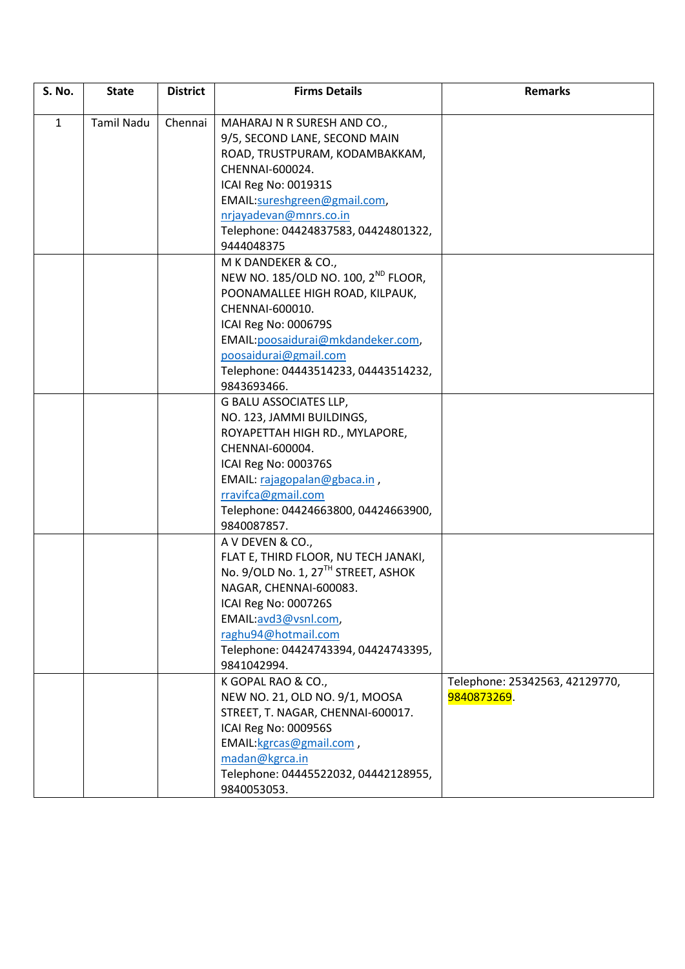| <b>S. No.</b> | <b>State</b>      | <b>District</b> | <b>Firms Details</b>                                                                                                                                                                                                                                                       | <b>Remarks</b>                                |
|---------------|-------------------|-----------------|----------------------------------------------------------------------------------------------------------------------------------------------------------------------------------------------------------------------------------------------------------------------------|-----------------------------------------------|
| $\mathbf{1}$  | <b>Tamil Nadu</b> | Chennai         | MAHARAJ N R SURESH AND CO.,<br>9/5, SECOND LANE, SECOND MAIN<br>ROAD, TRUSTPURAM, KODAMBAKKAM,<br>CHENNAI-600024.<br>ICAI Reg No: 001931S<br>EMAIL:sureshgreen@gmail.com,<br>nrjayadevan@mnrs.co.in<br>Telephone: 04424837583, 04424801322,<br>9444048375                  |                                               |
|               |                   |                 | M K DANDEKER & CO.,<br>NEW NO. 185/OLD NO. 100, 2 <sup>ND</sup> FLOOR,<br>POONAMALLEE HIGH ROAD, KILPAUK,<br>CHENNAI-600010.<br>ICAI Reg No: 000679S<br>EMAIL: poosaidurai@mkdandeker.com,<br>poosaidurai@gmail.com<br>Telephone: 04443514233, 04443514232,<br>9843693466. |                                               |
|               |                   |                 | G BALU ASSOCIATES LLP,<br>NO. 123, JAMMI BUILDINGS,<br>ROYAPETTAH HIGH RD., MYLAPORE,<br>CHENNAI-600004.<br>ICAI Reg No: 000376S<br>EMAIL: rajagopalan@gbaca.in,<br>rravifca@gmail.com<br>Telephone: 04424663800, 04424663900,<br>9840087857.                              |                                               |
|               |                   |                 | A V DEVEN & CO.,<br>FLAT E, THIRD FLOOR, NU TECH JANAKI,<br>No. 9/OLD No. 1, 27TH STREET, ASHOK<br>NAGAR, CHENNAI-600083.<br>ICAI Reg No: 000726S<br>EMAIL:avd3@vsnl.com,<br>raghu94@hotmail.com<br>Telephone: 04424743394, 04424743395,<br>9841042994.                    |                                               |
|               |                   |                 | K GOPAL RAO & CO.,<br>NEW NO. 21, OLD NO. 9/1, MOOSA<br>STREET, T. NAGAR, CHENNAI-600017.<br>ICAI Reg No: 000956S<br>EMAIL:kgrcas@gmail.com,<br>madan@kgrca.in<br>Telephone: 04445522032, 04442128955,<br>9840053053.                                                      | Telephone: 25342563, 42129770,<br>9840873269. |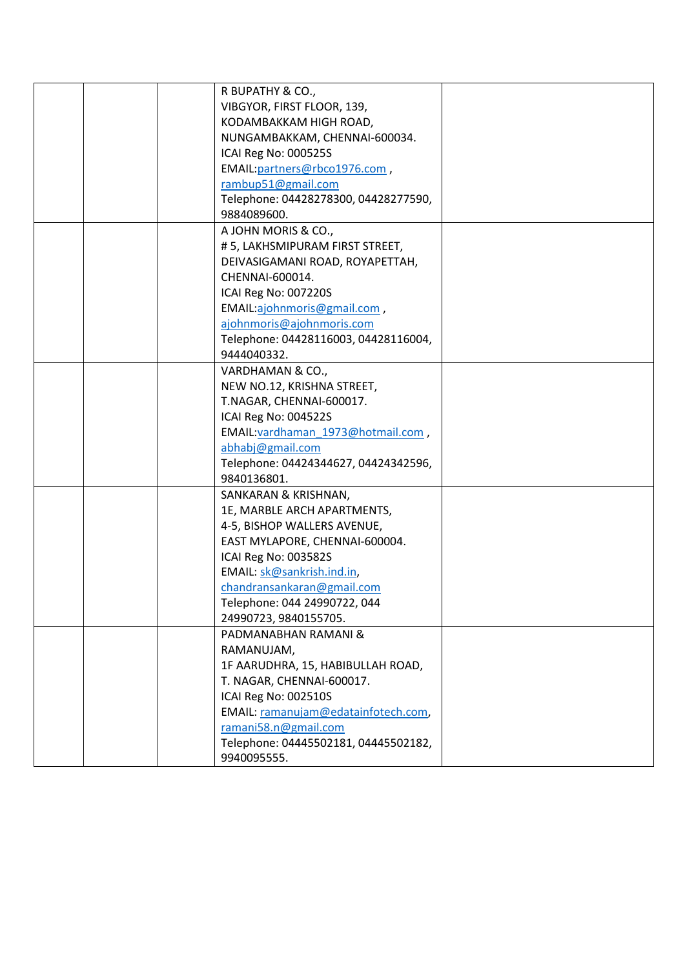|  | R BUPATHY & CO.,                     |  |
|--|--------------------------------------|--|
|  | VIBGYOR, FIRST FLOOR, 139,           |  |
|  | KODAMBAKKAM HIGH ROAD,               |  |
|  | NUNGAMBAKKAM, CHENNAI-600034.        |  |
|  | ICAI Reg No: 000525S                 |  |
|  | EMAIL: partners@rbco1976.com,        |  |
|  | rambup51@gmail.com                   |  |
|  | Telephone: 04428278300, 04428277590, |  |
|  | 9884089600.                          |  |
|  | A JOHN MORIS & CO.,                  |  |
|  | #5, LAKHSMIPURAM FIRST STREET,       |  |
|  | DEIVASIGAMANI ROAD, ROYAPETTAH,      |  |
|  | CHENNAI-600014.                      |  |
|  | ICAI Reg No: 007220S                 |  |
|  | EMAIL:ajohnmoris@gmail.com,          |  |
|  | ajohnmoris@ajohnmoris.com            |  |
|  | Telephone: 04428116003, 04428116004, |  |
|  | 9444040332.                          |  |
|  | VARDHAMAN & CO.,                     |  |
|  | NEW NO.12, KRISHNA STREET,           |  |
|  | T.NAGAR, CHENNAI-600017.             |  |
|  | ICAI Reg No: 004522S                 |  |
|  | EMAIL: vardhaman 1973@hotmail.com,   |  |
|  | abhabj@gmail.com                     |  |
|  | Telephone: 04424344627, 04424342596, |  |
|  | 9840136801.                          |  |
|  | SANKARAN & KRISHNAN,                 |  |
|  | 1E, MARBLE ARCH APARTMENTS,          |  |
|  | 4-5, BISHOP WALLERS AVENUE,          |  |
|  | EAST MYLAPORE, CHENNAI-600004.       |  |
|  | ICAI Reg No: 003582S                 |  |
|  | EMAIL: sk@sankrish.ind.in,           |  |
|  | chandransankaran@gmail.com           |  |
|  | Telephone: 044 24990722, 044         |  |
|  | 24990723, 9840155705.                |  |
|  | PADMANABHAN RAMANI &                 |  |
|  | RAMANUJAM,                           |  |
|  | 1F AARUDHRA, 15, HABIBULLAH ROAD,    |  |
|  | T. NAGAR, CHENNAI-600017.            |  |
|  | ICAI Reg No: 002510S                 |  |
|  | EMAIL: ramanujam@edatainfotech.com,  |  |
|  | ramani58.n@gmail.com                 |  |
|  | Telephone: 04445502181, 04445502182, |  |
|  | 9940095555.                          |  |
|  |                                      |  |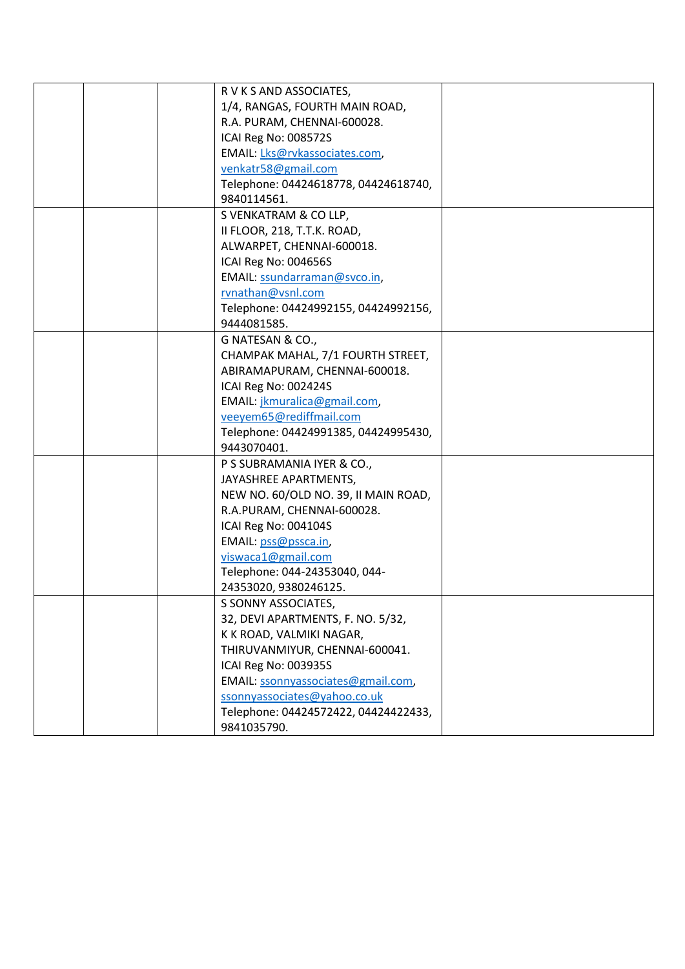|  | R V K S AND ASSOCIATES,              |  |
|--|--------------------------------------|--|
|  | 1/4, RANGAS, FOURTH MAIN ROAD,       |  |
|  | R.A. PURAM, CHENNAI-600028.          |  |
|  | ICAI Reg No: 008572S                 |  |
|  | EMAIL: Lks@rvkassociates.com,        |  |
|  | venkatr58@gmail.com                  |  |
|  | Telephone: 04424618778, 04424618740, |  |
|  | 9840114561.                          |  |
|  | S VENKATRAM & CO LLP,                |  |
|  | II FLOOR, 218, T.T.K. ROAD,          |  |
|  | ALWARPET, CHENNAI-600018.            |  |
|  | ICAI Reg No: 004656S                 |  |
|  | EMAIL: ssundarraman@svco.in,         |  |
|  | rvnathan@vsnl.com                    |  |
|  | Telephone: 04424992155, 04424992156, |  |
|  | 9444081585.                          |  |
|  | G NATESAN & CO.,                     |  |
|  | CHAMPAK MAHAL, 7/1 FOURTH STREET,    |  |
|  | ABIRAMAPURAM, CHENNAI-600018.        |  |
|  | ICAI Reg No: 002424S                 |  |
|  | EMAIL: jkmuralica@gmail.com,         |  |
|  | veeyem65@rediffmail.com              |  |
|  | Telephone: 04424991385, 04424995430, |  |
|  | 9443070401.                          |  |
|  | P S SUBRAMANIA IYER & CO.,           |  |
|  | JAYASHREE APARTMENTS,                |  |
|  | NEW NO. 60/OLD NO. 39, II MAIN ROAD, |  |
|  | R.A.PURAM, CHENNAI-600028.           |  |
|  | ICAI Reg No: 004104S                 |  |
|  | EMAIL: pss@pssca.in,                 |  |
|  | viswaca1@gmail.com                   |  |
|  | Telephone: 044-24353040, 044-        |  |
|  | 24353020, 9380246125.                |  |
|  | S SONNY ASSOCIATES,                  |  |
|  | 32, DEVI APARTMENTS, F. NO. 5/32,    |  |
|  | K K ROAD, VALMIKI NAGAR,             |  |
|  | THIRUVANMIYUR, CHENNAI-600041.       |  |
|  | ICAI Reg No: 003935S                 |  |
|  | EMAIL: ssonnyassociates@gmail.com,   |  |
|  | ssonnyassociates@yahoo.co.uk         |  |
|  | Telephone: 04424572422, 04424422433, |  |
|  | 9841035790.                          |  |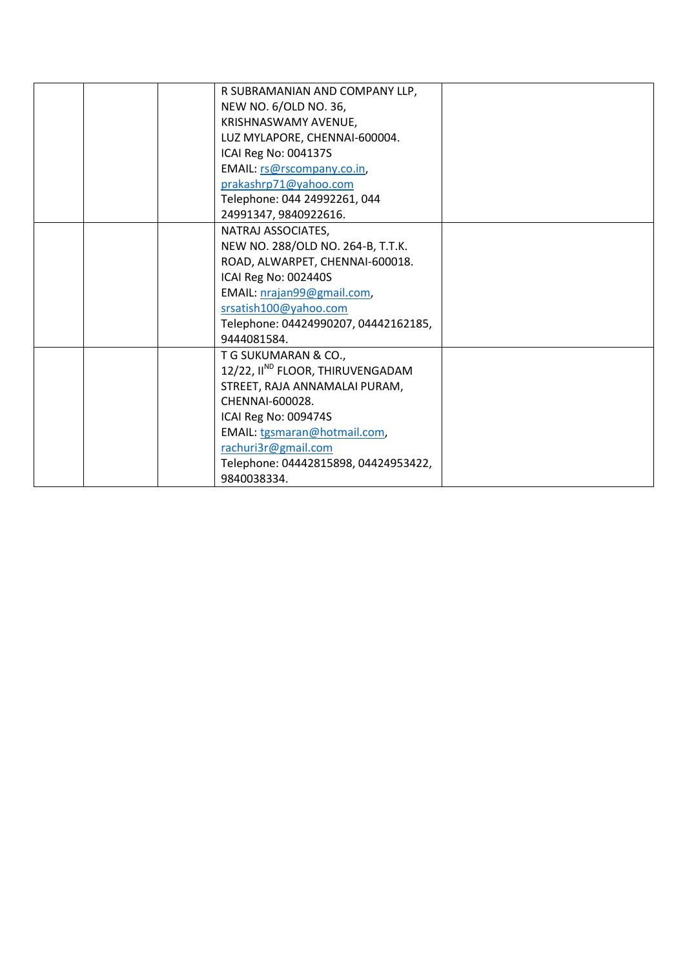|  | R SUBRAMANIAN AND COMPANY LLP,               |  |
|--|----------------------------------------------|--|
|  | NEW NO. 6/OLD NO. 36,                        |  |
|  | KRISHNASWAMY AVENUE,                         |  |
|  | LUZ MYLAPORE, CHENNAI-600004.                |  |
|  | ICAI Reg No: 004137S                         |  |
|  | EMAIL: rs@rscompany.co.in,                   |  |
|  | prakashrp71@yahoo.com                        |  |
|  | Telephone: 044 24992261, 044                 |  |
|  | 24991347, 9840922616.                        |  |
|  | NATRAJ ASSOCIATES,                           |  |
|  | NEW NO. 288/OLD NO. 264-B, T.T.K.            |  |
|  | ROAD, ALWARPET, CHENNAI-600018.              |  |
|  | ICAI Reg No: 002440S                         |  |
|  | EMAIL: nrajan99@gmail.com,                   |  |
|  | srsatish100@yahoo.com                        |  |
|  | Telephone: 04424990207, 04442162185,         |  |
|  | 9444081584.                                  |  |
|  | T G SUKUMARAN & CO.,                         |  |
|  | 12/22, II <sup>ND</sup> FLOOR, THIRUVENGADAM |  |
|  | STREET, RAJA ANNAMALAI PURAM,                |  |
|  | CHENNAI-600028.                              |  |
|  | ICAI Reg No: 009474S                         |  |
|  | EMAIL: tgsmaran@hotmail.com,                 |  |
|  | rachuri3r@gmail.com                          |  |
|  | Telephone: 04442815898, 04424953422,         |  |
|  | 9840038334.                                  |  |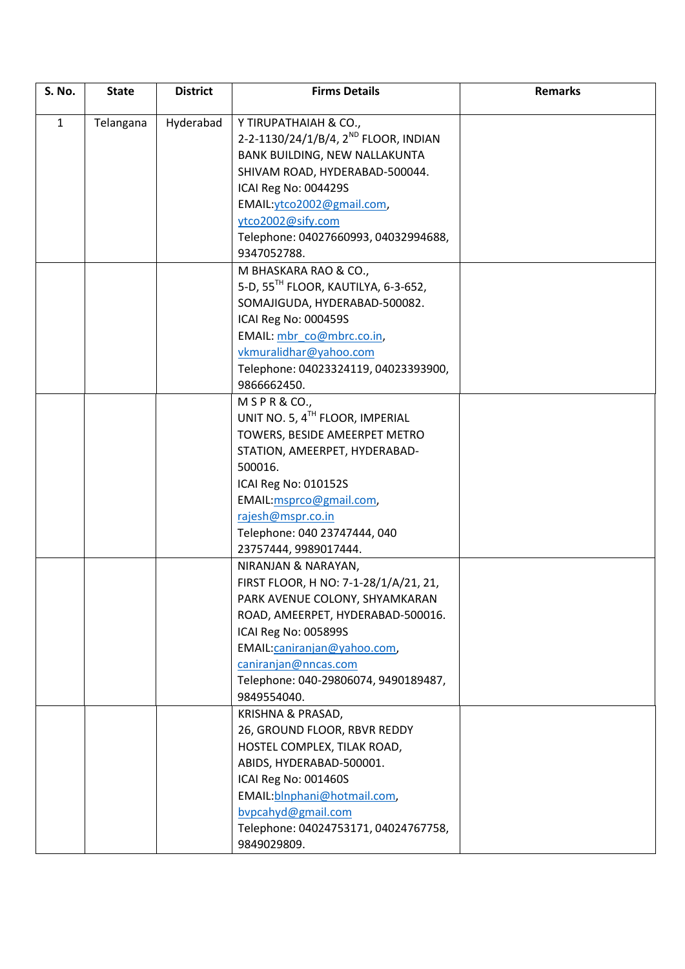| S. No.       | <b>State</b> | <b>District</b> | <b>Firms Details</b>                             | <b>Remarks</b> |
|--------------|--------------|-----------------|--------------------------------------------------|----------------|
| $\mathbf{1}$ | Telangana    | Hyderabad       | Y TIRUPATHAIAH & CO.,                            |                |
|              |              |                 | 2-2-1130/24/1/B/4, 2 <sup>ND</sup> FLOOR, INDIAN |                |
|              |              |                 | BANK BUILDING, NEW NALLAKUNTA                    |                |
|              |              |                 | SHIVAM ROAD, HYDERABAD-500044.                   |                |
|              |              |                 | ICAI Reg No: 004429S                             |                |
|              |              |                 | EMAIL: ytco2002@gmail.com,                       |                |
|              |              |                 | ytco2002@sify.com                                |                |
|              |              |                 | Telephone: 04027660993, 04032994688,             |                |
|              |              |                 | 9347052788.                                      |                |
|              |              |                 | M BHASKARA RAO & CO.,                            |                |
|              |              |                 | 5-D, 55 <sup>TH</sup> FLOOR, KAUTILYA, 6-3-652,  |                |
|              |              |                 | SOMAJIGUDA, HYDERABAD-500082.                    |                |
|              |              |                 | ICAI Reg No: 000459S                             |                |
|              |              |                 | EMAIL: mbr co@mbrc.co.in,                        |                |
|              |              |                 | vkmuralidhar@yahoo.com                           |                |
|              |              |                 | Telephone: 04023324119, 04023393900,             |                |
|              |              |                 | 9866662450.                                      |                |
|              |              |                 | $M$ S P R & CO.,                                 |                |
|              |              |                 | UNIT NO. 5, 4TH FLOOR, IMPERIAL                  |                |
|              |              |                 | TOWERS, BESIDE AMEERPET METRO                    |                |
|              |              |                 | STATION, AMEERPET, HYDERABAD-                    |                |
|              |              |                 | 500016.                                          |                |
|              |              |                 | ICAI Reg No: 010152S                             |                |
|              |              |                 | EMAIL:msprco@gmail.com,                          |                |
|              |              |                 | rajesh@mspr.co.in                                |                |
|              |              |                 | Telephone: 040 23747444, 040                     |                |
|              |              |                 | 23757444, 9989017444.                            |                |
|              |              |                 | NIRANJAN & NARAYAN,                              |                |
|              |              |                 | FIRST FLOOR, H NO: 7-1-28/1/A/21, 21,            |                |
|              |              |                 | PARK AVENUE COLONY, SHYAMKARAN                   |                |
|              |              |                 | ROAD, AMEERPET, HYDERABAD-500016.                |                |
|              |              |                 | ICAI Reg No: 005899S                             |                |
|              |              |                 | EMAIL:caniranjan@yahoo.com,                      |                |
|              |              |                 | caniranjan@nncas.com                             |                |
|              |              |                 | Telephone: 040-29806074, 9490189487,             |                |
|              |              |                 | 9849554040.                                      |                |
|              |              |                 | KRISHNA & PRASAD,                                |                |
|              |              |                 | 26, GROUND FLOOR, RBVR REDDY                     |                |
|              |              |                 | HOSTEL COMPLEX, TILAK ROAD,                      |                |
|              |              |                 | ABIDS, HYDERABAD-500001.                         |                |
|              |              |                 | ICAI Reg No: 001460S                             |                |
|              |              |                 | EMAIL: blnphani@hotmail.com,                     |                |
|              |              |                 | bypcahyd@gmail.com                               |                |
|              |              |                 | Telephone: 04024753171, 04024767758,             |                |
|              |              |                 | 9849029809.                                      |                |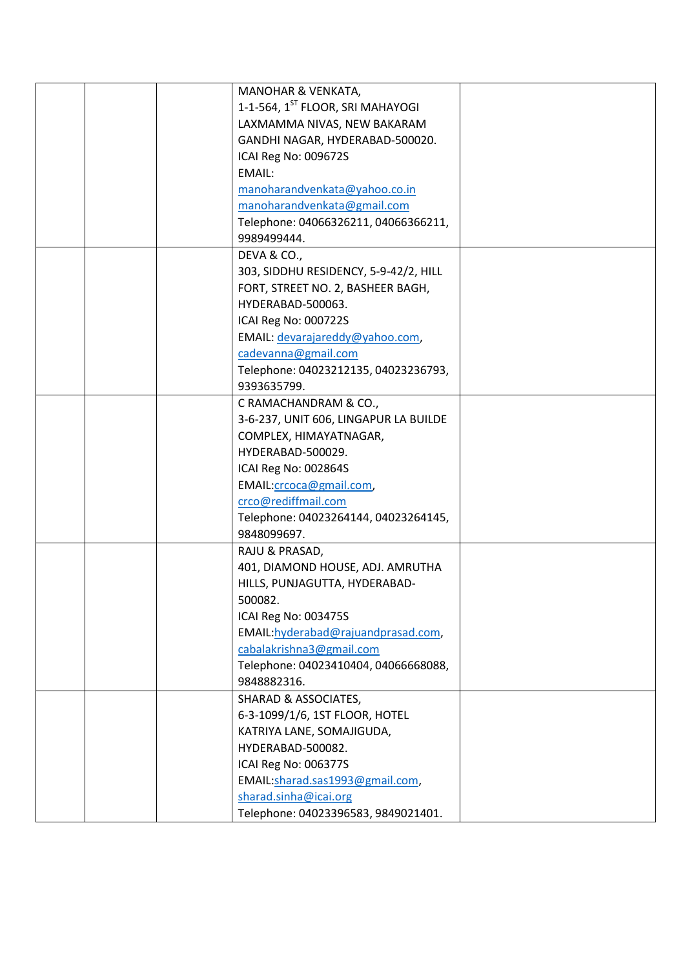|  | MANOHAR & VENKATA,                           |  |
|--|----------------------------------------------|--|
|  | 1-1-564, 1 <sup>ST</sup> FLOOR, SRI MAHAYOGI |  |
|  | LAXMAMMA NIVAS, NEW BAKARAM                  |  |
|  | GANDHI NAGAR, HYDERABAD-500020.              |  |
|  | ICAI Reg No: 009672S                         |  |
|  | <b>EMAIL:</b>                                |  |
|  | manoharandvenkata@yahoo.co.in                |  |
|  | manoharandvenkata@gmail.com                  |  |
|  | Telephone: 04066326211, 04066366211,         |  |
|  | 9989499444.                                  |  |
|  | DEVA & CO.,                                  |  |
|  | 303, SIDDHU RESIDENCY, 5-9-42/2, HILL        |  |
|  | FORT, STREET NO. 2, BASHEER BAGH,            |  |
|  | HYDERABAD-500063.                            |  |
|  | ICAI Reg No: 000722S                         |  |
|  | EMAIL: devarajareddy@yahoo.com,              |  |
|  | cadevanna@gmail.com                          |  |
|  | Telephone: 04023212135, 04023236793,         |  |
|  | 9393635799.                                  |  |
|  | C RAMACHANDRAM & CO.,                        |  |
|  | 3-6-237, UNIT 606, LINGAPUR LA BUILDE        |  |
|  | COMPLEX, HIMAYATNAGAR,                       |  |
|  | HYDERABAD-500029.                            |  |
|  | ICAI Reg No: 002864S                         |  |
|  | EMAIL: crcoca@gmail.com,                     |  |
|  | crco@rediffmail.com                          |  |
|  | Telephone: 04023264144, 04023264145,         |  |
|  | 9848099697.                                  |  |
|  | RAJU & PRASAD,                               |  |
|  | 401, DIAMOND HOUSE, ADJ. AMRUTHA             |  |
|  | HILLS, PUNJAGUTTA, HYDERABAD-                |  |
|  | 500082.                                      |  |
|  | ICAI Reg No: 003475S                         |  |
|  | EMAIL: hyderabad@rajuandprasad.com,          |  |
|  | cabalakrishna3@gmail.com                     |  |
|  | Telephone: 04023410404, 04066668088,         |  |
|  | 9848882316.                                  |  |
|  | <b>SHARAD &amp; ASSOCIATES,</b>              |  |
|  | 6-3-1099/1/6, 1ST FLOOR, HOTEL               |  |
|  | KATRIYA LANE, SOMAJIGUDA,                    |  |
|  | HYDERABAD-500082.                            |  |
|  | ICAI Reg No: 006377S                         |  |
|  | EMAIL:sharad.sas1993@gmail.com,              |  |
|  | sharad.sinha@icai.org                        |  |
|  | Telephone: 04023396583, 9849021401.          |  |
|  |                                              |  |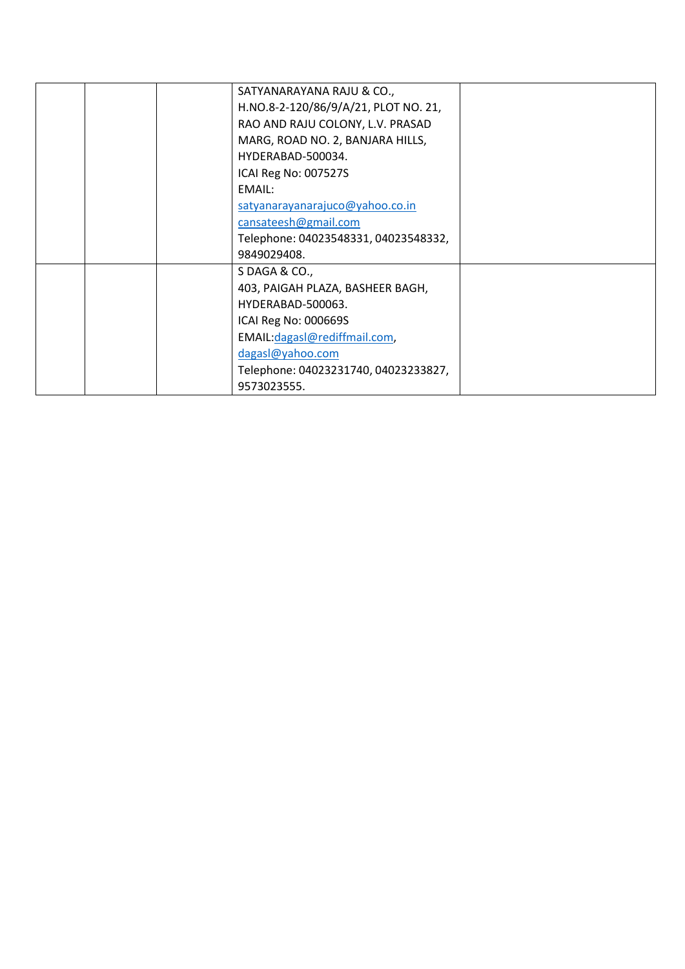| SATYANARAYANA RAJU & CO.,            |  |
|--------------------------------------|--|
| H.NO.8-2-120/86/9/A/21, PLOT NO. 21, |  |
| RAO AND RAJU COLONY, L.V. PRASAD     |  |
| MARG, ROAD NO. 2, BANJARA HILLS,     |  |
| HYDERABAD-500034.                    |  |
| ICAI Reg No: 007527S                 |  |
| EMAIL:                               |  |
| satyanarayanarajuco@yahoo.co.in      |  |
| cansateesh@gmail.com                 |  |
| Telephone: 04023548331, 04023548332, |  |
| 9849029408.                          |  |
| S DAGA & CO.,                        |  |
| 403, PAIGAH PLAZA, BASHEER BAGH,     |  |
| HYDERABAD-500063.                    |  |
| ICAI Reg No: 000669S                 |  |
| EMAIL: dagas   @rediffmail.com,      |  |
| dagasl@yahoo.com                     |  |
| Telephone: 04023231740, 04023233827, |  |
| 9573023555.                          |  |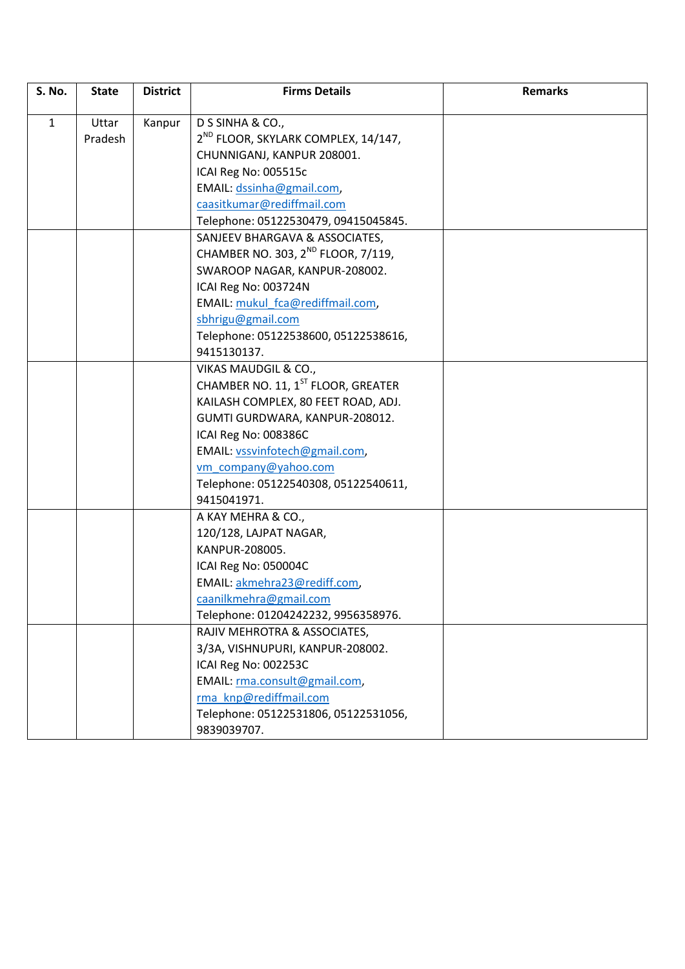| S. No.       | <b>State</b> | <b>District</b> | <b>Firms Details</b>                            | <b>Remarks</b> |
|--------------|--------------|-----------------|-------------------------------------------------|----------------|
| $\mathbf{1}$ | Uttar        | Kanpur          | D S SINHA & CO.,                                |                |
|              | Pradesh      |                 | 2 <sup>ND</sup> FLOOR, SKYLARK COMPLEX, 14/147, |                |
|              |              |                 | CHUNNIGANJ, KANPUR 208001.                      |                |
|              |              |                 | ICAI Reg No: 005515c                            |                |
|              |              |                 | EMAIL: dssinha@gmail.com,                       |                |
|              |              |                 | caasitkumar@rediffmail.com                      |                |
|              |              |                 | Telephone: 05122530479, 09415045845.            |                |
|              |              |                 | SANJEEV BHARGAVA & ASSOCIATES,                  |                |
|              |              |                 | CHAMBER NO. 303, 2 <sup>ND</sup> FLOOR, 7/119,  |                |
|              |              |                 | SWAROOP NAGAR, KANPUR-208002.                   |                |
|              |              |                 | ICAI Reg No: 003724N                            |                |
|              |              |                 | EMAIL: mukul fca@rediffmail.com,                |                |
|              |              |                 | sbhrigu@gmail.com                               |                |
|              |              |                 | Telephone: 05122538600, 05122538616,            |                |
|              |              |                 | 9415130137.                                     |                |
|              |              |                 | VIKAS MAUDGIL & CO.,                            |                |
|              |              |                 | CHAMBER NO. 11, 1ST FLOOR, GREATER              |                |
|              |              |                 | KAILASH COMPLEX, 80 FEET ROAD, ADJ.             |                |
|              |              |                 | GUMTI GURDWARA, KANPUR-208012.                  |                |
|              |              |                 | ICAI Reg No: 008386C                            |                |
|              |              |                 | EMAIL: vssvinfotech@gmail.com,                  |                |
|              |              |                 | vm company@yahoo.com                            |                |
|              |              |                 | Telephone: 05122540308, 05122540611,            |                |
|              |              |                 | 9415041971.                                     |                |
|              |              |                 | A KAY MEHRA & CO.,                              |                |
|              |              |                 | 120/128, LAJPAT NAGAR,                          |                |
|              |              |                 | KANPUR-208005.                                  |                |
|              |              |                 | ICAI Reg No: 050004C                            |                |
|              |              |                 | EMAIL: akmehra23@rediff.com,                    |                |
|              |              |                 | caanilkmehra@gmail.com                          |                |
|              |              |                 | Telephone: 01204242232, 9956358976.             |                |
|              |              |                 | RAJIV MEHROTRA & ASSOCIATES,                    |                |
|              |              |                 | 3/3A, VISHNUPURI, KANPUR-208002.                |                |
|              |              |                 | ICAI Reg No: 002253C                            |                |
|              |              |                 | EMAIL: rma.consult@gmail.com,                   |                |
|              |              |                 | rma knp@rediffmail.com                          |                |
|              |              |                 | Telephone: 05122531806, 05122531056,            |                |
|              |              |                 | 9839039707.                                     |                |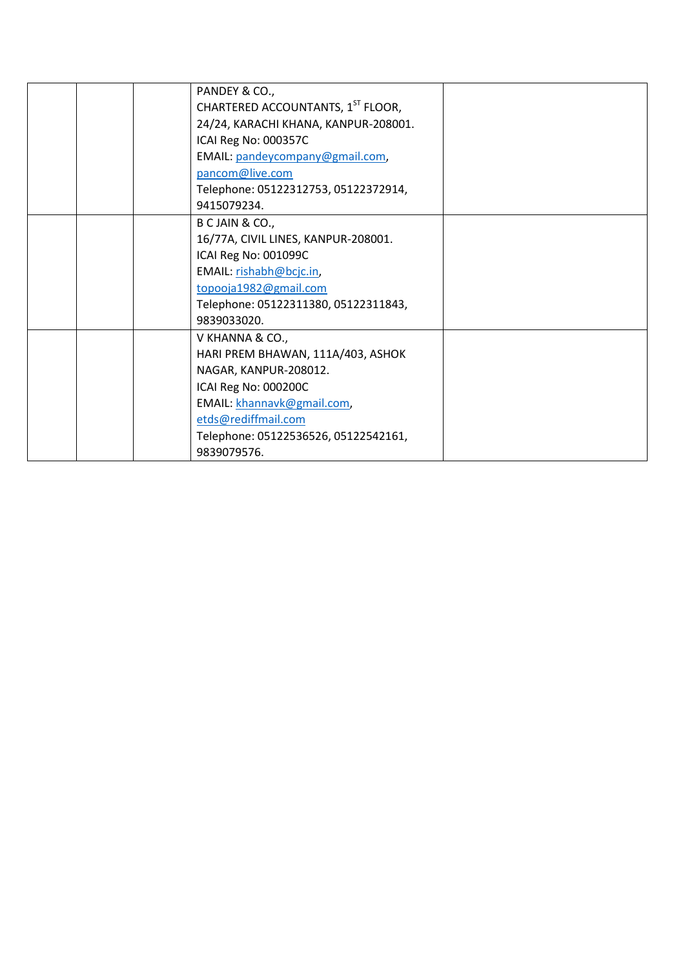| PANDEY & CO.,                        |  |
|--------------------------------------|--|
| CHARTERED ACCOUNTANTS, 1ST FLOOR,    |  |
| 24/24, KARACHI KHANA, KANPUR-208001. |  |
| ICAI Reg No: 000357C                 |  |
| EMAIL: pandeycompany@gmail.com,      |  |
| pancom@live.com                      |  |
| Telephone: 05122312753, 05122372914, |  |
| 9415079234.                          |  |
| B C JAIN & CO.,                      |  |
| 16/77A, CIVIL LINES, KANPUR-208001.  |  |
| ICAI Reg No: 001099C                 |  |
| EMAIL: rishabh@bcjc.in,              |  |
| topooja1982@gmail.com                |  |
| Telephone: 05122311380, 05122311843, |  |
| 9839033020.                          |  |
| V KHANNA & CO.,                      |  |
| HARI PREM BHAWAN, 111A/403, ASHOK    |  |
| NAGAR, KANPUR-208012.                |  |
| ICAI Reg No: 000200C                 |  |
| EMAIL: khannavk@gmail.com,           |  |
| etds@rediffmail.com                  |  |
| Telephone: 05122536526, 05122542161, |  |
| 9839079576.                          |  |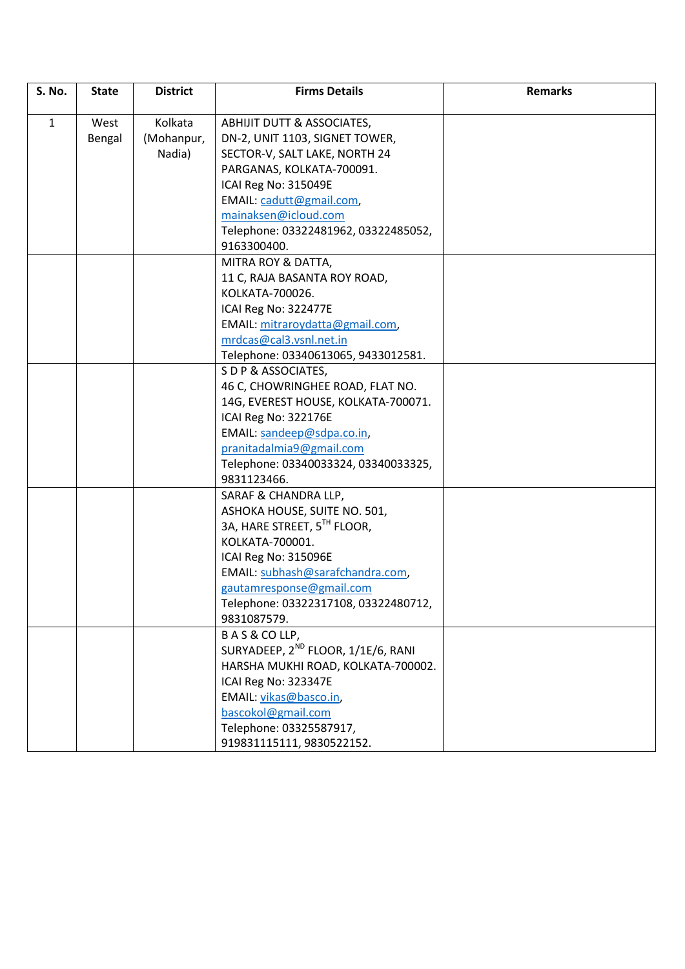| S. No.       | <b>State</b> | <b>District</b> | <b>Firms Details</b>                           | <b>Remarks</b> |
|--------------|--------------|-----------------|------------------------------------------------|----------------|
|              |              |                 |                                                |                |
| $\mathbf{1}$ | West         | Kolkata         | ABHIJIT DUTT & ASSOCIATES,                     |                |
|              | Bengal       | (Mohanpur,      | DN-2, UNIT 1103, SIGNET TOWER,                 |                |
|              |              | Nadia)          | SECTOR-V, SALT LAKE, NORTH 24                  |                |
|              |              |                 | PARGANAS, KOLKATA-700091.                      |                |
|              |              |                 | ICAI Reg No: 315049E                           |                |
|              |              |                 | EMAIL: cadutt@gmail.com,                       |                |
|              |              |                 | mainaksen@icloud.com                           |                |
|              |              |                 | Telephone: 03322481962, 03322485052,           |                |
|              |              |                 | 9163300400.                                    |                |
|              |              |                 | MITRA ROY & DATTA,                             |                |
|              |              |                 | 11 C, RAJA BASANTA ROY ROAD,                   |                |
|              |              |                 | KOLKATA-700026.                                |                |
|              |              |                 | ICAI Reg No: 322477E                           |                |
|              |              |                 | EMAIL: mitraroydatta@gmail.com,                |                |
|              |              |                 | mrdcas@cal3.vsnl.net.in                        |                |
|              |              |                 | Telephone: 03340613065, 9433012581.            |                |
|              |              |                 | S D P & ASSOCIATES,                            |                |
|              |              |                 | 46 C, CHOWRINGHEE ROAD, FLAT NO.               |                |
|              |              |                 | 14G, EVEREST HOUSE, KOLKATA-700071.            |                |
|              |              |                 | ICAI Reg No: 322176E                           |                |
|              |              |                 | EMAIL: sandeep@sdpa.co.in,                     |                |
|              |              |                 | pranitadalmia9@gmail.com                       |                |
|              |              |                 | Telephone: 03340033324, 03340033325,           |                |
|              |              |                 | 9831123466.                                    |                |
|              |              |                 | SARAF & CHANDRA LLP,                           |                |
|              |              |                 | ASHOKA HOUSE, SUITE NO. 501,                   |                |
|              |              |                 | 3A, HARE STREET, 5TH FLOOR,                    |                |
|              |              |                 | KOLKATA-700001.                                |                |
|              |              |                 | ICAI Reg No: 315096E                           |                |
|              |              |                 | EMAIL: subhash@sarafchandra.com,               |                |
|              |              |                 | gautamresponse@gmail.com                       |                |
|              |              |                 | Telephone: 03322317108, 03322480712,           |                |
|              |              |                 | 9831087579.                                    |                |
|              |              |                 | BAS&COLLP,                                     |                |
|              |              |                 | SURYADEEP, 2 <sup>ND</sup> FLOOR, 1/1E/6, RANI |                |
|              |              |                 | HARSHA MUKHI ROAD, KOLKATA-700002.             |                |
|              |              |                 | ICAI Reg No: 323347E                           |                |
|              |              |                 | EMAIL: vikas@basco.in,                         |                |
|              |              |                 | bascokol@gmail.com                             |                |
|              |              |                 | Telephone: 03325587917,                        |                |
|              |              |                 | 919831115111, 9830522152.                      |                |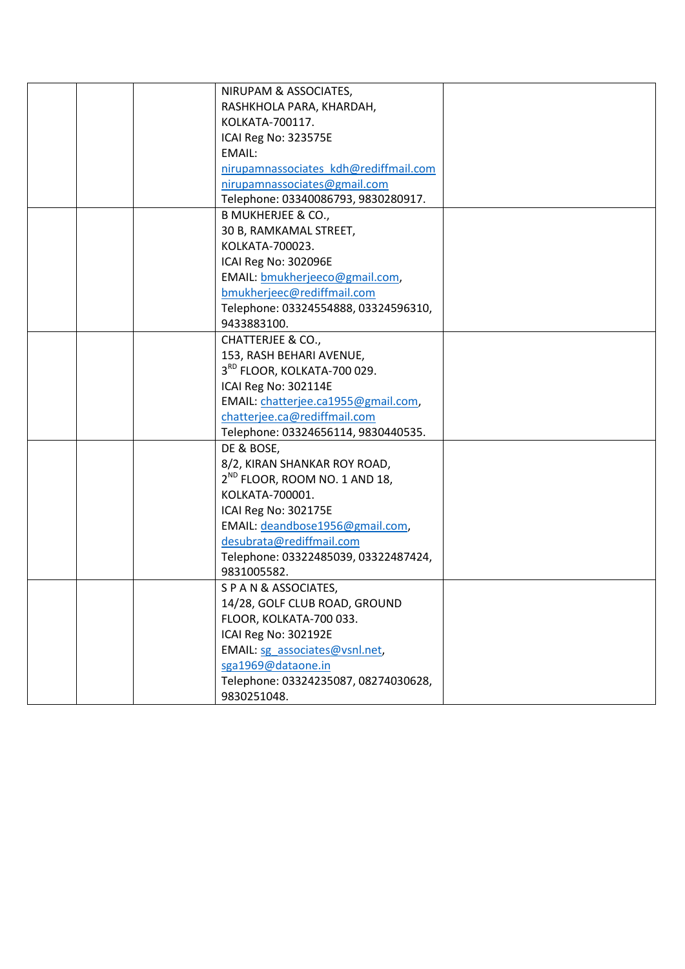|  | NIRUPAM & ASSOCIATES,                     |  |
|--|-------------------------------------------|--|
|  | RASHKHOLA PARA, KHARDAH,                  |  |
|  | KOLKATA-700117.                           |  |
|  | ICAI Reg No: 323575E                      |  |
|  | EMAIL:                                    |  |
|  | nirupamnassociates kdh@rediffmail.com     |  |
|  | nirupamnassociates@gmail.com              |  |
|  | Telephone: 03340086793, 9830280917.       |  |
|  | <b>B MUKHERJEE &amp; CO.,</b>             |  |
|  | 30 B, RAMKAMAL STREET,                    |  |
|  | KOLKATA-700023.                           |  |
|  | ICAI Reg No: 302096E                      |  |
|  | EMAIL: bmukherjeeco@gmail.com,            |  |
|  | bmukherjeec@rediffmail.com                |  |
|  | Telephone: 03324554888, 03324596310,      |  |
|  | 9433883100.                               |  |
|  | <b>CHATTERJEE &amp; CO.,</b>              |  |
|  | 153, RASH BEHARI AVENUE,                  |  |
|  | 3 <sup>RD</sup> FLOOR, KOLKATA-700 029.   |  |
|  | ICAI Reg No: 302114E                      |  |
|  | EMAIL: chatterjee.ca1955@gmail.com,       |  |
|  | chatterjee.ca@rediffmail.com              |  |
|  | Telephone: 03324656114, 9830440535.       |  |
|  | DE & BOSE,                                |  |
|  | 8/2, KIRAN SHANKAR ROY ROAD,              |  |
|  | 2 <sup>ND</sup> FLOOR, ROOM NO. 1 AND 18, |  |
|  | KOLKATA-700001.                           |  |
|  | ICAI Reg No: 302175E                      |  |
|  | EMAIL: deandbose1956@gmail.com,           |  |
|  | desubrata@rediffmail.com                  |  |
|  | Telephone: 03322485039, 03322487424,      |  |
|  | 9831005582.                               |  |
|  | S P A N & ASSOCIATES,                     |  |
|  | 14/28, GOLF CLUB ROAD, GROUND             |  |
|  | FLOOR, KOLKATA-700 033.                   |  |
|  | ICAI Reg No: 302192E                      |  |
|  | EMAIL: sg associates@vsnl.net,            |  |
|  | sga1969@dataone.in                        |  |
|  | Telephone: 03324235087, 08274030628,      |  |
|  | 9830251048.                               |  |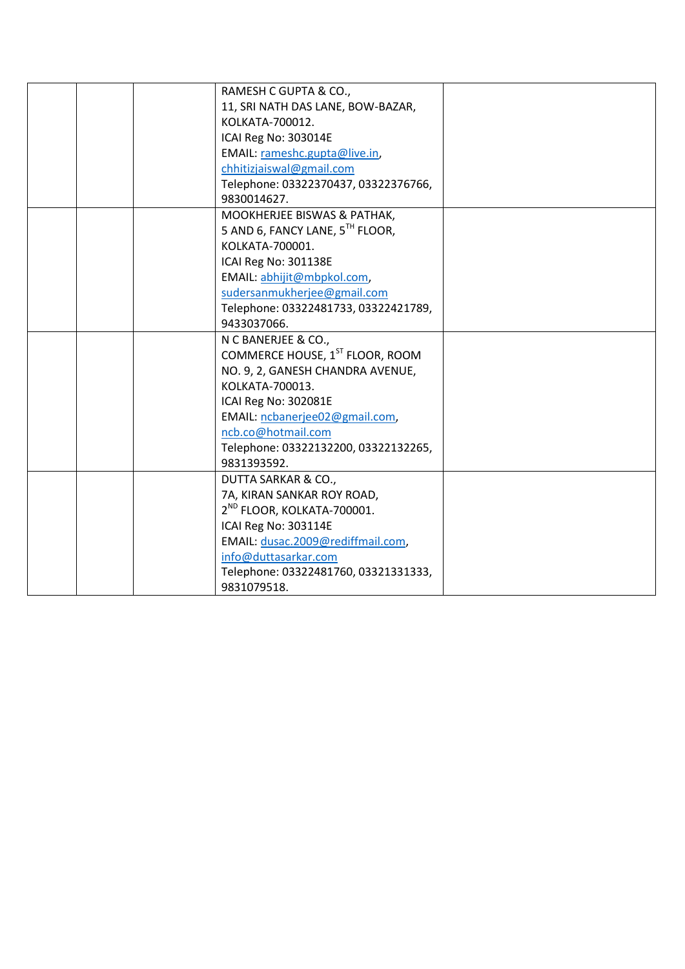|  | RAMESH C GUPTA & CO.,                       |  |
|--|---------------------------------------------|--|
|  | 11, SRI NATH DAS LANE, BOW-BAZAR,           |  |
|  | KOLKATA-700012.                             |  |
|  | ICAI Reg No: 303014E                        |  |
|  | EMAIL: rameshc.gupta@live.in,               |  |
|  | chhitizjaiswal@gmail.com                    |  |
|  | Telephone: 03322370437, 03322376766,        |  |
|  | 9830014627.                                 |  |
|  | MOOKHERJEE BISWAS & PATHAK,                 |  |
|  | 5 AND 6, FANCY LANE, 5TH FLOOR,             |  |
|  | KOLKATA-700001.                             |  |
|  | ICAI Reg No: 301138E                        |  |
|  | EMAIL: abhijit@mbpkol.com,                  |  |
|  | sudersanmukherjee@gmail.com                 |  |
|  | Telephone: 03322481733, 03322421789,        |  |
|  | 9433037066.                                 |  |
|  | N C BANERJEE & CO.,                         |  |
|  | COMMERCE HOUSE, 1 <sup>ST</sup> FLOOR, ROOM |  |
|  | NO. 9, 2, GANESH CHANDRA AVENUE,            |  |
|  | KOLKATA-700013.                             |  |
|  | ICAI Reg No: 302081E                        |  |
|  | EMAIL: ncbanerjee02@gmail.com,              |  |
|  | ncb.co@hotmail.com                          |  |
|  | Telephone: 03322132200, 03322132265,        |  |
|  | 9831393592.                                 |  |
|  | DUTTA SARKAR & CO.,                         |  |
|  | 7A, KIRAN SANKAR ROY ROAD,                  |  |
|  | 2 <sup>ND</sup> FLOOR, KOLKATA-700001.      |  |
|  | ICAI Reg No: 303114E                        |  |
|  | EMAIL: dusac.2009@rediffmail.com,           |  |
|  | info@duttasarkar.com                        |  |
|  | Telephone: 03322481760, 03321331333,        |  |
|  | 9831079518.                                 |  |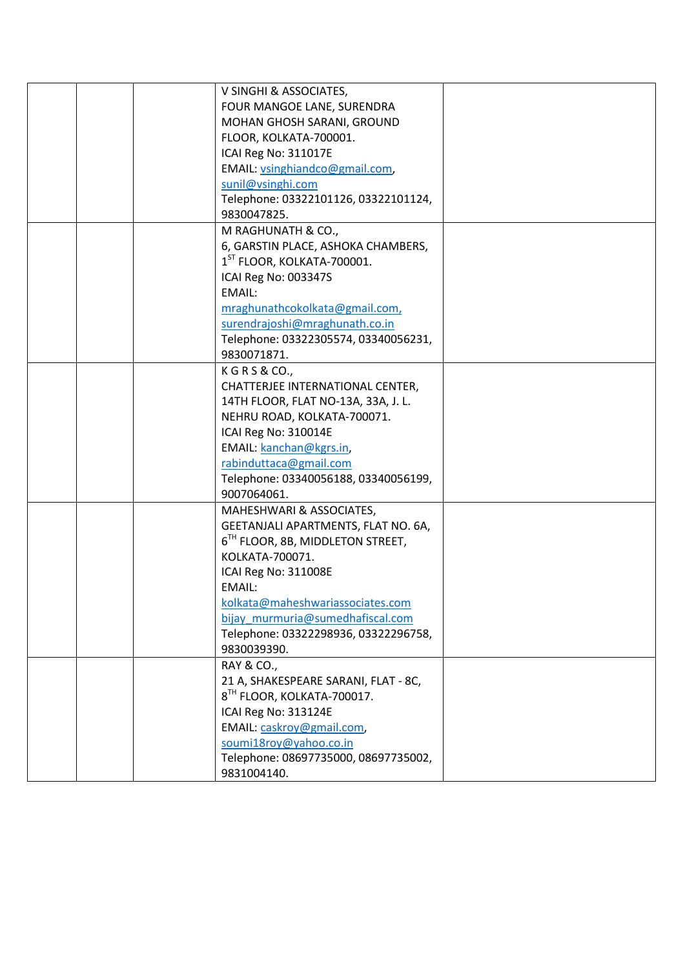|  | V SINGHI & ASSOCIATES,                       |  |
|--|----------------------------------------------|--|
|  | FOUR MANGOE LANE, SURENDRA                   |  |
|  | MOHAN GHOSH SARANI, GROUND                   |  |
|  | FLOOR, KOLKATA-700001.                       |  |
|  | ICAI Reg No: 311017E                         |  |
|  | EMAIL: vsinghiandco@gmail.com,               |  |
|  | sunil@vsinghi.com                            |  |
|  | Telephone: 03322101126, 03322101124,         |  |
|  | 9830047825.                                  |  |
|  | M RAGHUNATH & CO.,                           |  |
|  | 6, GARSTIN PLACE, ASHOKA CHAMBERS,           |  |
|  | 1 <sup>ST</sup> FLOOR, KOLKATA-700001.       |  |
|  | ICAI Reg No: 003347S                         |  |
|  | EMAIL:                                       |  |
|  | mraghunathcokolkata@gmail.com,               |  |
|  | surendrajoshi@mraghunath.co.in               |  |
|  | Telephone: 03322305574, 03340056231,         |  |
|  | 9830071871.                                  |  |
|  |                                              |  |
|  | K G R S & CO.,                               |  |
|  | CHATTERJEE INTERNATIONAL CENTER,             |  |
|  | 14TH FLOOR, FLAT NO-13A, 33A, J. L.          |  |
|  | NEHRU ROAD, KOLKATA-700071.                  |  |
|  | ICAI Reg No: 310014E                         |  |
|  | EMAIL: kanchan@kgrs.in,                      |  |
|  | rabinduttaca@gmail.com                       |  |
|  | Telephone: 03340056188, 03340056199,         |  |
|  | 9007064061.                                  |  |
|  | MAHESHWARI & ASSOCIATES,                     |  |
|  | GEETANJALI APARTMENTS, FLAT NO. 6A,          |  |
|  | 6 <sup>TH</sup> FLOOR, 8B, MIDDLETON STREET, |  |
|  | KOLKATA-700071.                              |  |
|  | ICAI Reg No: 311008E                         |  |
|  | EMAIL:                                       |  |
|  | kolkata@maheshwariassociates.com             |  |
|  | bijay murmuria@sumedhafiscal.com             |  |
|  | Telephone: 03322298936, 03322296758,         |  |
|  | 9830039390.                                  |  |
|  | <b>RAY &amp; CO.,</b>                        |  |
|  | 21 A, SHAKESPEARE SARANI, FLAT - 8C,         |  |
|  | 8 <sup>TH</sup> FLOOR, KOLKATA-700017.       |  |
|  | ICAI Reg No: 313124E                         |  |
|  | EMAIL: caskroy@gmail.com,                    |  |
|  | soumi18roy@yahoo.co.in                       |  |
|  | Telephone: 08697735000, 08697735002,         |  |
|  | 9831004140.                                  |  |
|  |                                              |  |